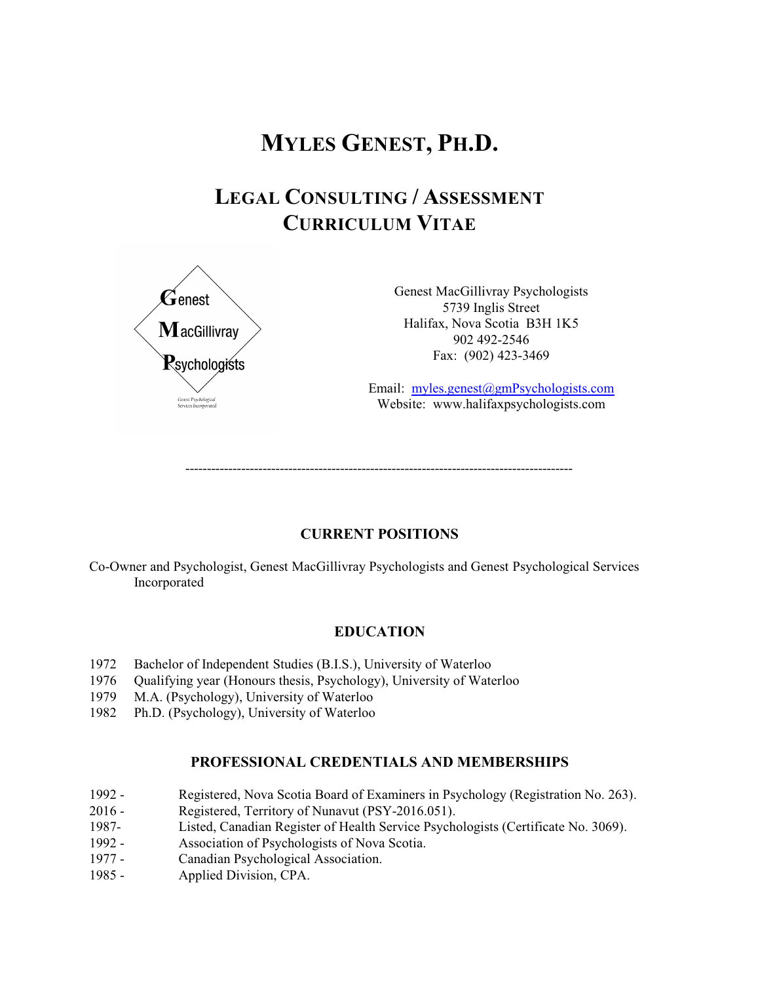# **MYLES GENEST, PH.D.**

# **LEGAL CONSULTING / ASSESSMENT CURRICULUM VITAE**



Genest MacGillivray Psychologists 5739 Inglis Street Halifax, Nova Scotia B3H 1K5 902 492-2546 Fax: (902) 423-3469

Email: [myles.genest@gmPsychologists.com](mailto:myles.genest@genestpsychology.com) Website: www.halifaxpsychologists.com

------------------------------------------------------------------------------------------

# **CURRENT POSITIONS**

Co-Owner and Psychologist, Genest MacGillivray Psychologists and Genest Psychological Services Incorporated

# **EDUCATION**

- 1972 Bachelor of Independent Studies (B.I.S.), University of Waterloo
- 1976 Qualifying year (Honours thesis, Psychology), University of Waterloo
- 1979 M.A. (Psychology), University of Waterloo
- 1982 Ph.D. (Psychology), University of Waterloo

# **PROFESSIONAL CREDENTIALS AND MEMBERSHIPS**

- 1992 Registered, Nova Scotia Board of Examiners in Psychology (Registration No. 263).
- 2016 Registered, Territory of Nunavut (PSY-2016.051).
- 1987- Listed, Canadian Register of Health Service Psychologists (Certificate No. 3069).
- 1992 Association of Psychologists of Nova Scotia.
- 1977 Canadian Psychological Association.
- 1985 Applied Division, CPA.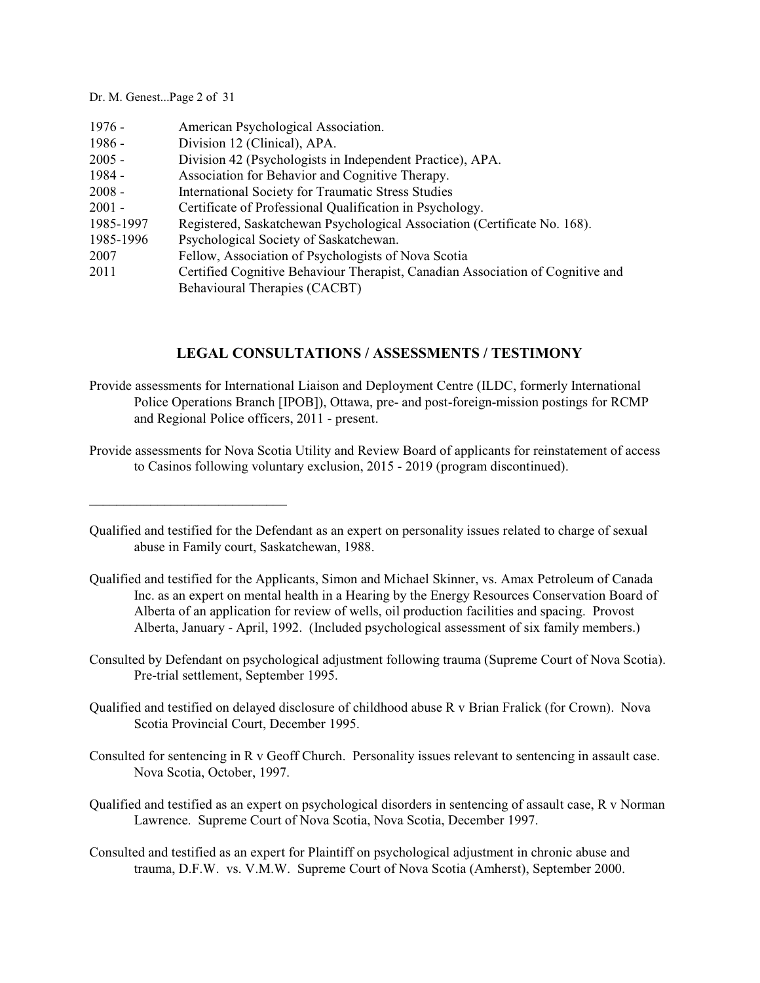Dr. M. Genest...Page 2 of 31

 $\mathcal{L}_\text{max}$  and  $\mathcal{L}_\text{max}$  and  $\mathcal{L}_\text{max}$ 

| $1976 -$  | American Psychological Association.                                            |
|-----------|--------------------------------------------------------------------------------|
| $1986 -$  | Division 12 (Clinical), APA.                                                   |
| $2005 -$  | Division 42 (Psychologists in Independent Practice), APA.                      |
| 1984 -    | Association for Behavior and Cognitive Therapy.                                |
| $2008 -$  | International Society for Traumatic Stress Studies                             |
| $2001 -$  | Certificate of Professional Qualification in Psychology.                       |
| 1985-1997 | Registered, Saskatchewan Psychological Association (Certificate No. 168).      |
| 1985-1996 | Psychological Society of Saskatchewan.                                         |
| 2007      | Fellow, Association of Psychologists of Nova Scotia                            |
| 2011      | Certified Cognitive Behaviour Therapist, Canadian Association of Cognitive and |
|           | Behavioural Therapies (CACBT)                                                  |

# **LEGAL CONSULTATIONS / ASSESSMENTS / TESTIMONY**

- Provide assessments for International Liaison and Deployment Centre (ILDC, formerly International Police Operations Branch [IPOB]), Ottawa, pre- and post-foreign-mission postings for RCMP and Regional Police officers, 2011 - present.
- Provide assessments for Nova Scotia Utility and Review Board of applicants for reinstatement of access to Casinos following voluntary exclusion, 2015 - 2019 (program discontinued).

Qualified and testified for the Defendant as an expert on personality issues related to charge of sexual abuse in Family court, Saskatchewan, 1988.

- Qualified and testified for the Applicants, Simon and Michael Skinner, vs. Amax Petroleum of Canada Inc. as an expert on mental health in a Hearing by the Energy Resources Conservation Board of Alberta of an application for review of wells, oil production facilities and spacing. Provost Alberta, January - April, 1992. (Included psychological assessment of six family members.)
- Consulted by Defendant on psychological adjustment following trauma (Supreme Court of Nova Scotia). Pre-trial settlement, September 1995.
- Qualified and testified on delayed disclosure of childhood abuse R v Brian Fralick (for Crown). Nova Scotia Provincial Court, December 1995.
- Consulted for sentencing in R v Geoff Church. Personality issues relevant to sentencing in assault case. Nova Scotia, October, 1997.
- Qualified and testified as an expert on psychological disorders in sentencing of assault case, R v Norman Lawrence. Supreme Court of Nova Scotia, Nova Scotia, December 1997.
- Consulted and testified as an expert for Plaintiff on psychological adjustment in chronic abuse and trauma, D.F.W. vs. V.M.W. Supreme Court of Nova Scotia (Amherst), September 2000.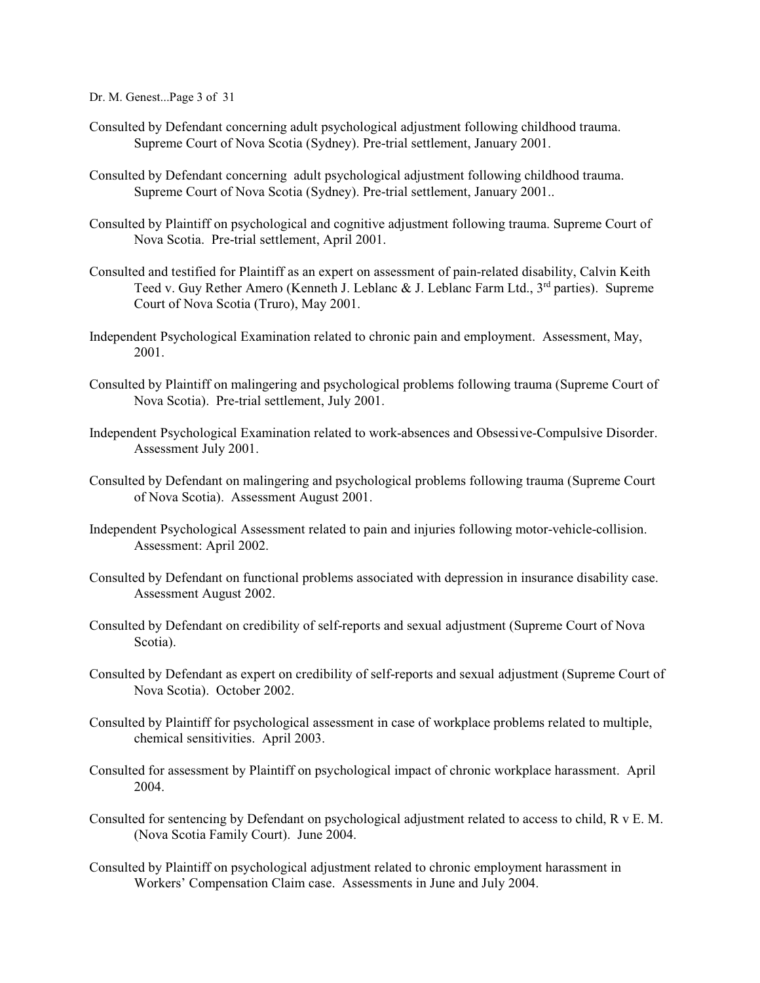Dr. M. Genest...Page 3 of 31

- Consulted by Defendant concerning adult psychological adjustment following childhood trauma. Supreme Court of Nova Scotia (Sydney). Pre-trial settlement, January 2001.
- Consulted by Defendant concerning adult psychological adjustment following childhood trauma. Supreme Court of Nova Scotia (Sydney). Pre-trial settlement, January 2001..
- Consulted by Plaintiff on psychological and cognitive adjustment following trauma. Supreme Court of Nova Scotia. Pre-trial settlement, April 2001.
- Consulted and testified for Plaintiff as an expert on assessment of pain-related disability, Calvin Keith Teed v. Guy Rether Amero (Kenneth J. Leblanc & J. Leblanc Farm Ltd., 3<sup>rd</sup> parties). Supreme Court of Nova Scotia (Truro), May 2001.
- Independent Psychological Examination related to chronic pain and employment. Assessment, May, 2001.
- Consulted by Plaintiff on malingering and psychological problems following trauma (Supreme Court of Nova Scotia). Pre-trial settlement, July 2001.
- Independent Psychological Examination related to work-absences and Obsessive-Compulsive Disorder. Assessment July 2001.
- Consulted by Defendant on malingering and psychological problems following trauma (Supreme Court of Nova Scotia). Assessment August 2001.
- Independent Psychological Assessment related to pain and injuries following motor-vehicle-collision. Assessment: April 2002.
- Consulted by Defendant on functional problems associated with depression in insurance disability case. Assessment August 2002.
- Consulted by Defendant on credibility of self-reports and sexual adjustment (Supreme Court of Nova Scotia).
- Consulted by Defendant as expert on credibility of self-reports and sexual adjustment (Supreme Court of Nova Scotia). October 2002.
- Consulted by Plaintiff for psychological assessment in case of workplace problems related to multiple, chemical sensitivities. April 2003.
- Consulted for assessment by Plaintiff on psychological impact of chronic workplace harassment. April 2004.
- Consulted for sentencing by Defendant on psychological adjustment related to access to child, R v E. M. (Nova Scotia Family Court). June 2004.
- Consulted by Plaintiff on psychological adjustment related to chronic employment harassment in Workers' Compensation Claim case. Assessments in June and July 2004.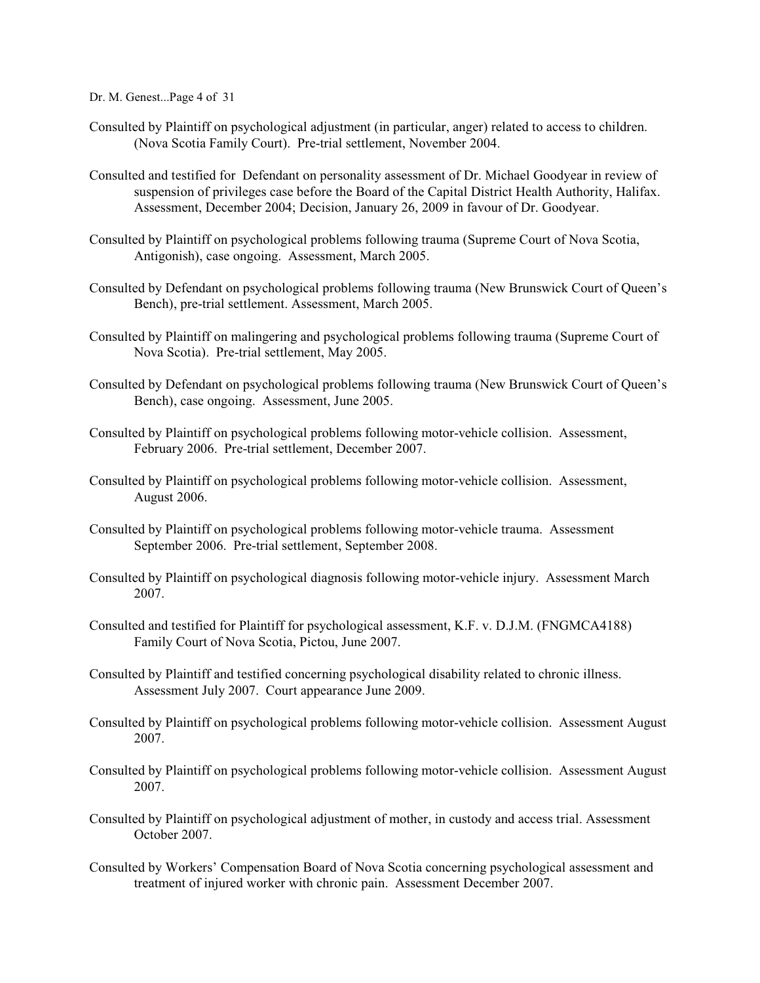Dr. M. Genest...Page 4 of 31

- Consulted by Plaintiff on psychological adjustment (in particular, anger) related to access to children. (Nova Scotia Family Court). Pre-trial settlement, November 2004.
- Consulted and testified for Defendant on personality assessment of Dr. Michael Goodyear in review of suspension of privileges case before the Board of the Capital District Health Authority, Halifax. Assessment, December 2004; Decision, January 26, 2009 in favour of Dr. Goodyear.
- Consulted by Plaintiff on psychological problems following trauma (Supreme Court of Nova Scotia, Antigonish), case ongoing. Assessment, March 2005.
- Consulted by Defendant on psychological problems following trauma (New Brunswick Court of Queen's Bench), pre-trial settlement. Assessment, March 2005.
- Consulted by Plaintiff on malingering and psychological problems following trauma (Supreme Court of Nova Scotia). Pre-trial settlement, May 2005.
- Consulted by Defendant on psychological problems following trauma (New Brunswick Court of Queen's Bench), case ongoing. Assessment, June 2005.
- Consulted by Plaintiff on psychological problems following motor-vehicle collision. Assessment, February 2006. Pre-trial settlement, December 2007.
- Consulted by Plaintiff on psychological problems following motor-vehicle collision. Assessment, August 2006.
- Consulted by Plaintiff on psychological problems following motor-vehicle trauma. Assessment September 2006. Pre-trial settlement, September 2008.
- Consulted by Plaintiff on psychological diagnosis following motor-vehicle injury. Assessment March 2007.
- Consulted and testified for Plaintiff for psychological assessment, K.F. v. D.J.M. (FNGMCA4188) Family Court of Nova Scotia, Pictou, June 2007.
- Consulted by Plaintiff and testified concerning psychological disability related to chronic illness. Assessment July 2007. Court appearance June 2009.
- Consulted by Plaintiff on psychological problems following motor-vehicle collision. Assessment August 2007.
- Consulted by Plaintiff on psychological problems following motor-vehicle collision. Assessment August 2007.
- Consulted by Plaintiff on psychological adjustment of mother, in custody and access trial. Assessment October 2007.
- Consulted by Workers' Compensation Board of Nova Scotia concerning psychological assessment and treatment of injured worker with chronic pain. Assessment December 2007.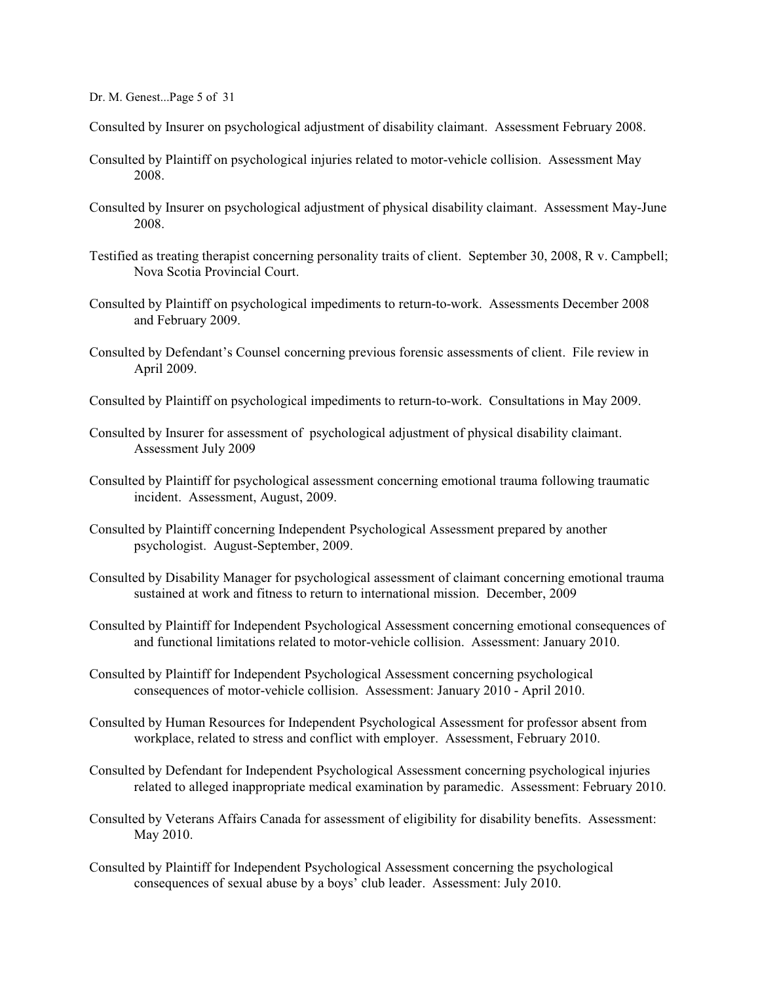Dr. M. Genest...Page 5 of 31

- Consulted by Insurer on psychological adjustment of disability claimant. Assessment February 2008.
- Consulted by Plaintiff on psychological injuries related to motor-vehicle collision. Assessment May 2008.
- Consulted by Insurer on psychological adjustment of physical disability claimant. Assessment May-June 2008.
- Testified as treating therapist concerning personality traits of client. September 30, 2008, R v. Campbell; Nova Scotia Provincial Court.
- Consulted by Plaintiff on psychological impediments to return-to-work. Assessments December 2008 and February 2009.
- Consulted by Defendant's Counsel concerning previous forensic assessments of client. File review in April 2009.
- Consulted by Plaintiff on psychological impediments to return-to-work. Consultations in May 2009.
- Consulted by Insurer for assessment of psychological adjustment of physical disability claimant. Assessment July 2009
- Consulted by Plaintiff for psychological assessment concerning emotional trauma following traumatic incident. Assessment, August, 2009.
- Consulted by Plaintiff concerning Independent Psychological Assessment prepared by another psychologist. August-September, 2009.
- Consulted by Disability Manager for psychological assessment of claimant concerning emotional trauma sustained at work and fitness to return to international mission. December, 2009
- Consulted by Plaintiff for Independent Psychological Assessment concerning emotional consequences of and functional limitations related to motor-vehicle collision. Assessment: January 2010.
- Consulted by Plaintiff for Independent Psychological Assessment concerning psychological consequences of motor-vehicle collision. Assessment: January 2010 - April 2010.
- Consulted by Human Resources for Independent Psychological Assessment for professor absent from workplace, related to stress and conflict with employer. Assessment, February 2010.
- Consulted by Defendant for Independent Psychological Assessment concerning psychological injuries related to alleged inappropriate medical examination by paramedic. Assessment: February 2010.
- Consulted by Veterans Affairs Canada for assessment of eligibility for disability benefits. Assessment: May 2010.
- Consulted by Plaintiff for Independent Psychological Assessment concerning the psychological consequences of sexual abuse by a boys' club leader. Assessment: July 2010.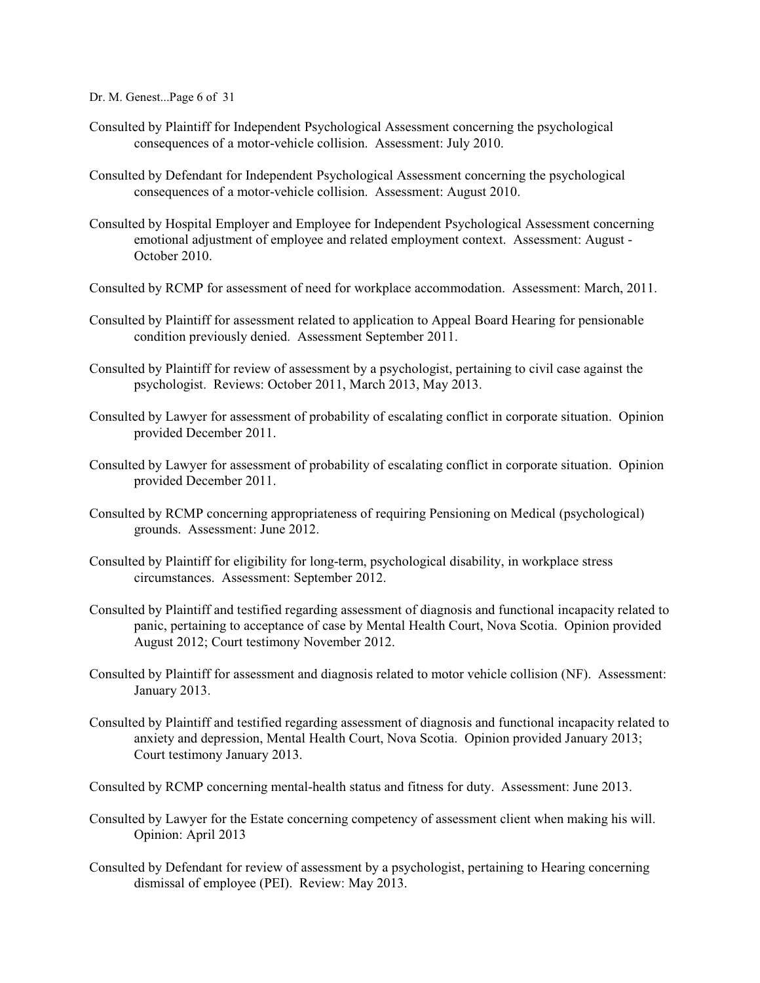Dr. M. Genest...Page 6 of 31

- Consulted by Plaintiff for Independent Psychological Assessment concerning the psychological consequences of a motor-vehicle collision. Assessment: July 2010.
- Consulted by Defendant for Independent Psychological Assessment concerning the psychological consequences of a motor-vehicle collision. Assessment: August 2010.
- Consulted by Hospital Employer and Employee for Independent Psychological Assessment concerning emotional adjustment of employee and related employment context. Assessment: August -October 2010.
- Consulted by RCMP for assessment of need for workplace accommodation. Assessment: March, 2011.
- Consulted by Plaintiff for assessment related to application to Appeal Board Hearing for pensionable condition previously denied. Assessment September 2011.
- Consulted by Plaintiff for review of assessment by a psychologist, pertaining to civil case against the psychologist. Reviews: October 2011, March 2013, May 2013.
- Consulted by Lawyer for assessment of probability of escalating conflict in corporate situation. Opinion provided December 2011.
- Consulted by Lawyer for assessment of probability of escalating conflict in corporate situation. Opinion provided December 2011.
- Consulted by RCMP concerning appropriateness of requiring Pensioning on Medical (psychological) grounds. Assessment: June 2012.
- Consulted by Plaintiff for eligibility for long-term, psychological disability, in workplace stress circumstances. Assessment: September 2012.
- Consulted by Plaintiff and testified regarding assessment of diagnosis and functional incapacity related to panic, pertaining to acceptance of case by Mental Health Court, Nova Scotia. Opinion provided August 2012; Court testimony November 2012.
- Consulted by Plaintiff for assessment and diagnosis related to motor vehicle collision (NF). Assessment: January 2013.
- Consulted by Plaintiff and testified regarding assessment of diagnosis and functional incapacity related to anxiety and depression, Mental Health Court, Nova Scotia. Opinion provided January 2013; Court testimony January 2013.
- Consulted by RCMP concerning mental-health status and fitness for duty. Assessment: June 2013.
- Consulted by Lawyer for the Estate concerning competency of assessment client when making his will. Opinion: April 2013
- Consulted by Defendant for review of assessment by a psychologist, pertaining to Hearing concerning dismissal of employee (PEI). Review: May 2013.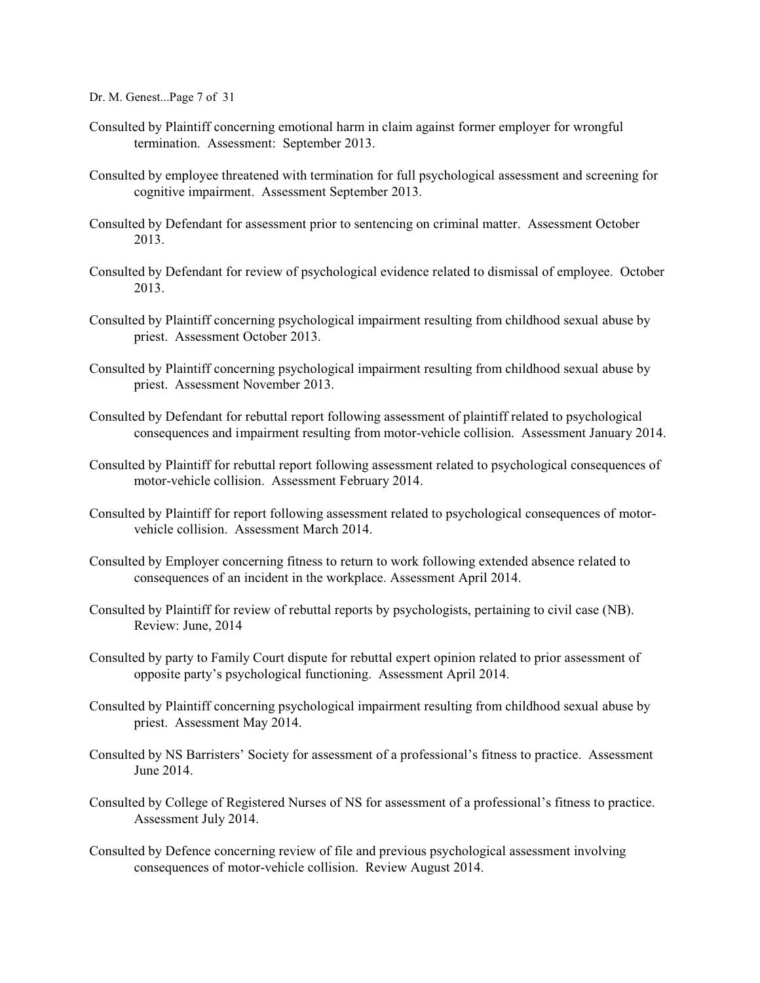Dr. M. Genest...Page 7 of 31

- Consulted by Plaintiff concerning emotional harm in claim against former employer for wrongful termination. Assessment: September 2013.
- Consulted by employee threatened with termination for full psychological assessment and screening for cognitive impairment. Assessment September 2013.
- Consulted by Defendant for assessment prior to sentencing on criminal matter. Assessment October 2013.
- Consulted by Defendant for review of psychological evidence related to dismissal of employee. October 2013.
- Consulted by Plaintiff concerning psychological impairment resulting from childhood sexual abuse by priest. Assessment October 2013.
- Consulted by Plaintiff concerning psychological impairment resulting from childhood sexual abuse by priest. Assessment November 2013.
- Consulted by Defendant for rebuttal report following assessment of plaintiff related to psychological consequences and impairment resulting from motor-vehicle collision. Assessment January 2014.
- Consulted by Plaintiff for rebuttal report following assessment related to psychological consequences of motor-vehicle collision. Assessment February 2014.
- Consulted by Plaintiff for report following assessment related to psychological consequences of motorvehicle collision. Assessment March 2014.
- Consulted by Employer concerning fitness to return to work following extended absence related to consequences of an incident in the workplace. Assessment April 2014.
- Consulted by Plaintiff for review of rebuttal reports by psychologists, pertaining to civil case (NB). Review: June, 2014
- Consulted by party to Family Court dispute for rebuttal expert opinion related to prior assessment of opposite party's psychological functioning. Assessment April 2014.
- Consulted by Plaintiff concerning psychological impairment resulting from childhood sexual abuse by priest. Assessment May 2014.
- Consulted by NS Barristers' Society for assessment of a professional's fitness to practice. Assessment June 2014.
- Consulted by College of Registered Nurses of NS for assessment of a professional's fitness to practice. Assessment July 2014.
- Consulted by Defence concerning review of file and previous psychological assessment involving consequences of motor-vehicle collision. Review August 2014.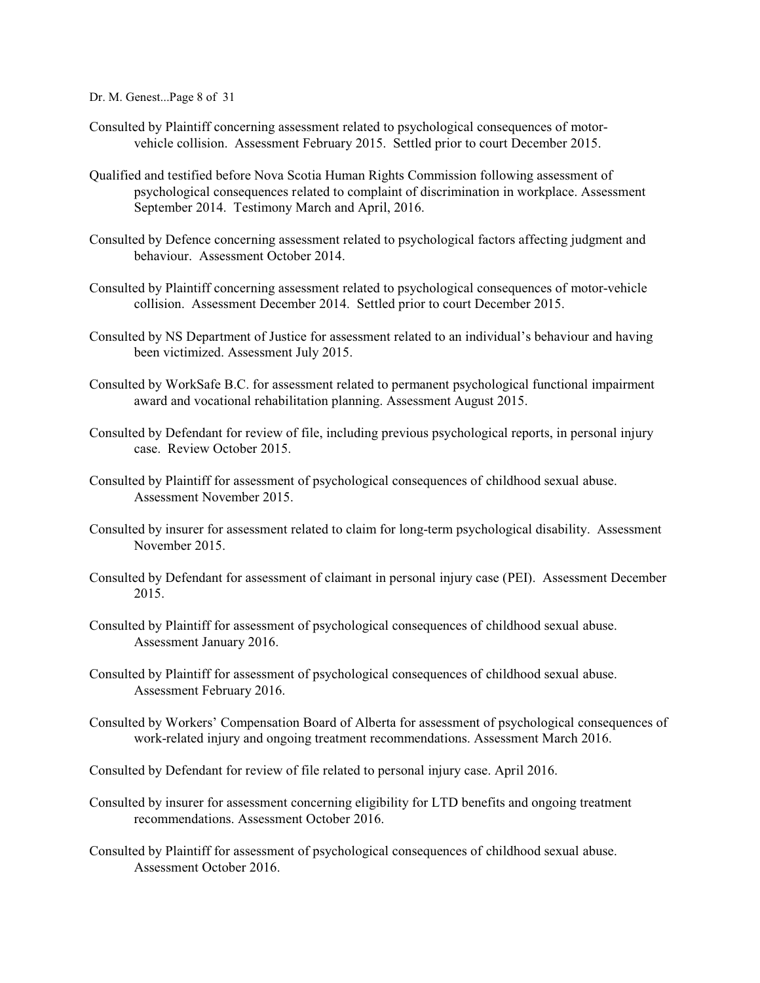Dr. M. Genest...Page 8 of 31

- Consulted by Plaintiff concerning assessment related to psychological consequences of motorvehicle collision. Assessment February 2015. Settled prior to court December 2015.
- Qualified and testified before Nova Scotia Human Rights Commission following assessment of psychological consequences related to complaint of discrimination in workplace. Assessment September 2014. Testimony March and April, 2016.
- Consulted by Defence concerning assessment related to psychological factors affecting judgment and behaviour. Assessment October 2014.
- Consulted by Plaintiff concerning assessment related to psychological consequences of motor-vehicle collision. Assessment December 2014. Settled prior to court December 2015.
- Consulted by NS Department of Justice for assessment related to an individual's behaviour and having been victimized. Assessment July 2015.
- Consulted by WorkSafe B.C. for assessment related to permanent psychological functional impairment award and vocational rehabilitation planning. Assessment August 2015.
- Consulted by Defendant for review of file, including previous psychological reports, in personal injury case. Review October 2015.
- Consulted by Plaintiff for assessment of psychological consequences of childhood sexual abuse. Assessment November 2015.
- Consulted by insurer for assessment related to claim for long-term psychological disability. Assessment November 2015.
- Consulted by Defendant for assessment of claimant in personal injury case (PEI). Assessment December 2015.
- Consulted by Plaintiff for assessment of psychological consequences of childhood sexual abuse. Assessment January 2016.
- Consulted by Plaintiff for assessment of psychological consequences of childhood sexual abuse. Assessment February 2016.
- Consulted by Workers' Compensation Board of Alberta for assessment of psychological consequences of work-related injury and ongoing treatment recommendations. Assessment March 2016.
- Consulted by Defendant for review of file related to personal injury case. April 2016.
- Consulted by insurer for assessment concerning eligibility for LTD benefits and ongoing treatment recommendations. Assessment October 2016.
- Consulted by Plaintiff for assessment of psychological consequences of childhood sexual abuse. Assessment October 2016.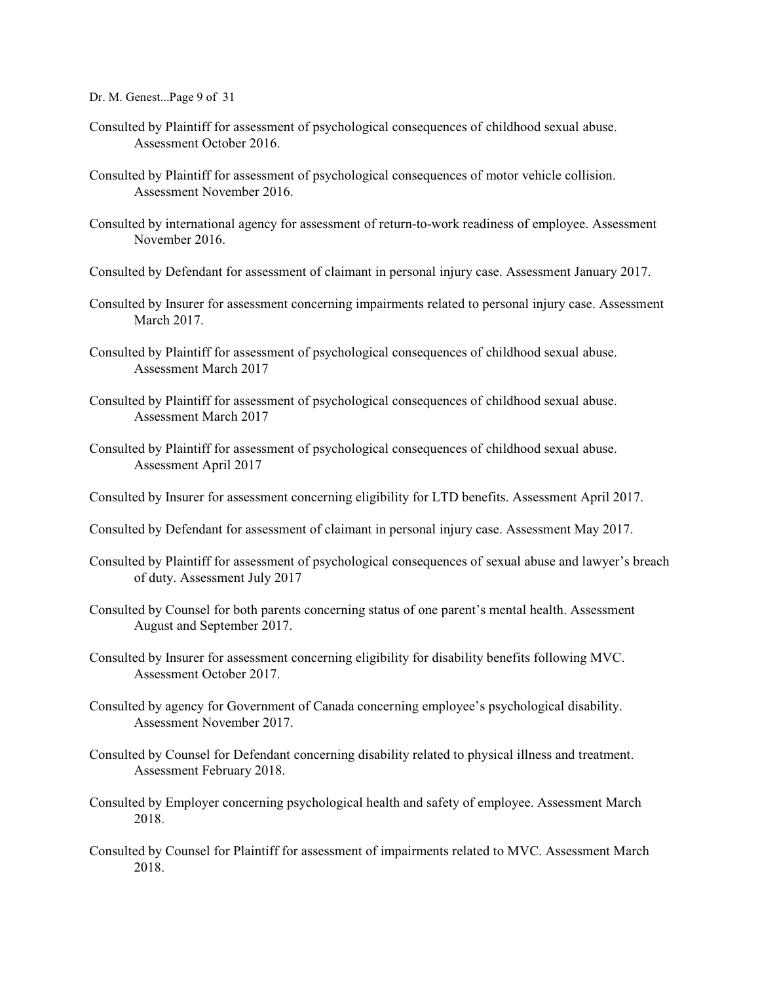Dr. M. Genest...Page 9 of 31

- Consulted by Plaintiff for assessment of psychological consequences of childhood sexual abuse. Assessment October 2016.
- Consulted by Plaintiff for assessment of psychological consequences of motor vehicle collision. Assessment November 2016.
- Consulted by international agency for assessment of return-to-work readiness of employee. Assessment November 2016.
- Consulted by Defendant for assessment of claimant in personal injury case. Assessment January 2017.
- Consulted by Insurer for assessment concerning impairments related to personal injury case. Assessment March 2017.
- Consulted by Plaintiff for assessment of psychological consequences of childhood sexual abuse. Assessment March 2017
- Consulted by Plaintiff for assessment of psychological consequences of childhood sexual abuse. Assessment March 2017
- Consulted by Plaintiff for assessment of psychological consequences of childhood sexual abuse. Assessment April 2017
- Consulted by Insurer for assessment concerning eligibility for LTD benefits. Assessment April 2017.
- Consulted by Defendant for assessment of claimant in personal injury case. Assessment May 2017.
- Consulted by Plaintiff for assessment of psychological consequences of sexual abuse and lawyer's breach of duty. Assessment July 2017
- Consulted by Counsel for both parents concerning status of one parent's mental health. Assessment August and September 2017.
- Consulted by Insurer for assessment concerning eligibility for disability benefits following MVC. Assessment October 2017.
- Consulted by agency for Government of Canada concerning employee's psychological disability. Assessment November 2017.
- Consulted by Counsel for Defendant concerning disability related to physical illness and treatment. Assessment February 2018.
- Consulted by Employer concerning psychological health and safety of employee. Assessment March 2018.
- Consulted by Counsel for Plaintiff for assessment of impairments related to MVC. Assessment March 2018.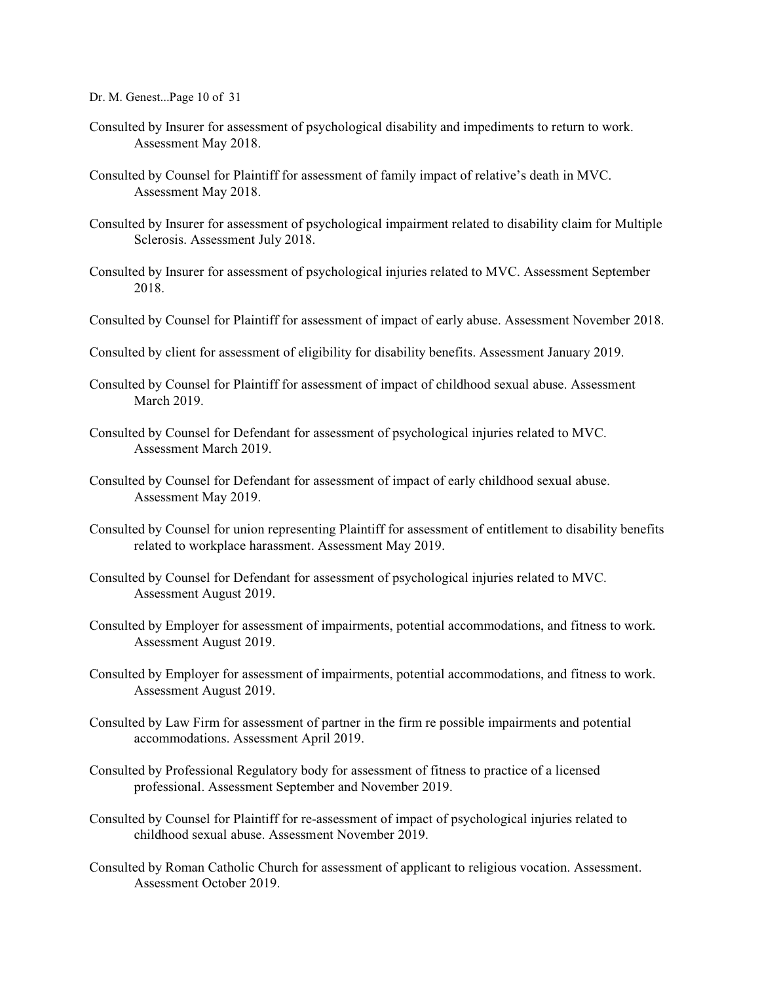Dr. M. Genest...Page 10 of 31

- Consulted by Insurer for assessment of psychological disability and impediments to return to work. Assessment May 2018.
- Consulted by Counsel for Plaintiff for assessment of family impact of relative's death in MVC. Assessment May 2018.
- Consulted by Insurer for assessment of psychological impairment related to disability claim for Multiple Sclerosis. Assessment July 2018.
- Consulted by Insurer for assessment of psychological injuries related to MVC. Assessment September 2018.
- Consulted by Counsel for Plaintiff for assessment of impact of early abuse. Assessment November 2018.
- Consulted by client for assessment of eligibility for disability benefits. Assessment January 2019.
- Consulted by Counsel for Plaintiff for assessment of impact of childhood sexual abuse. Assessment March 2019.
- Consulted by Counsel for Defendant for assessment of psychological injuries related to MVC. Assessment March 2019.
- Consulted by Counsel for Defendant for assessment of impact of early childhood sexual abuse. Assessment May 2019.
- Consulted by Counsel for union representing Plaintiff for assessment of entitlement to disability benefits related to workplace harassment. Assessment May 2019.
- Consulted by Counsel for Defendant for assessment of psychological injuries related to MVC. Assessment August 2019.
- Consulted by Employer for assessment of impairments, potential accommodations, and fitness to work. Assessment August 2019.
- Consulted by Employer for assessment of impairments, potential accommodations, and fitness to work. Assessment August 2019.
- Consulted by Law Firm for assessment of partner in the firm re possible impairments and potential accommodations. Assessment April 2019.
- Consulted by Professional Regulatory body for assessment of fitness to practice of a licensed professional. Assessment September and November 2019.
- Consulted by Counsel for Plaintiff for re-assessment of impact of psychological injuries related to childhood sexual abuse. Assessment November 2019.
- Consulted by Roman Catholic Church for assessment of applicant to religious vocation. Assessment. Assessment October 2019.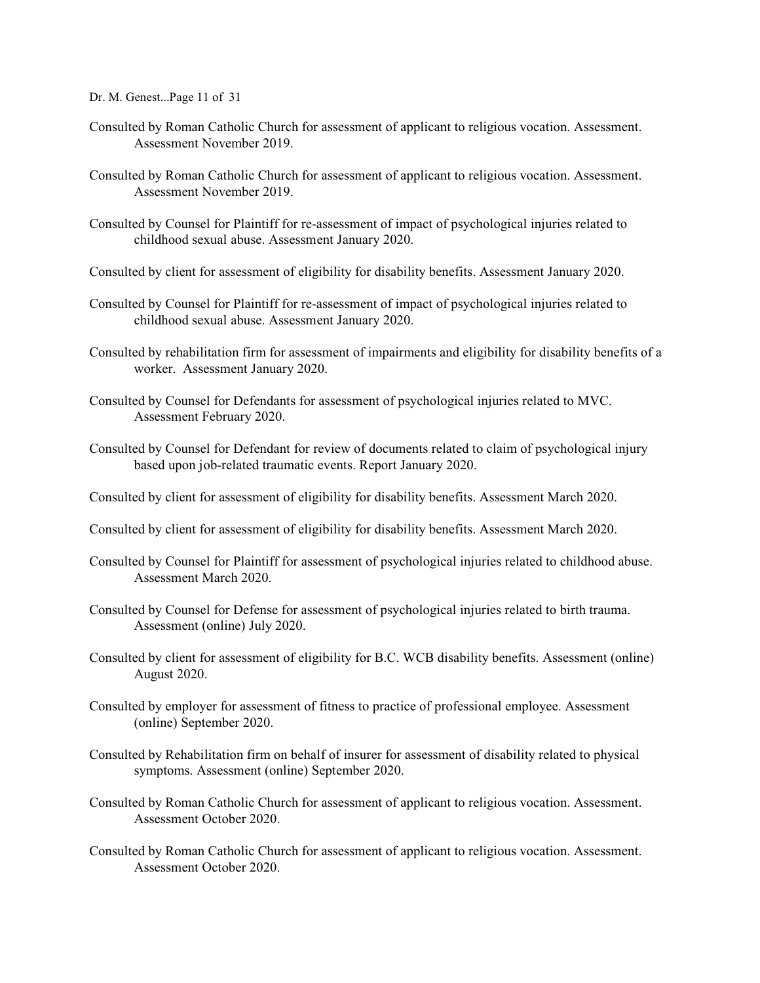Dr. M. Genest...Page 11 of 31

- Consulted by Roman Catholic Church for assessment of applicant to religious vocation. Assessment. Assessment November 2019.
- Consulted by Roman Catholic Church for assessment of applicant to religious vocation. Assessment. Assessment November 2019.
- Consulted by Counsel for Plaintiff for re-assessment of impact of psychological injuries related to childhood sexual abuse. Assessment January 2020.
- Consulted by client for assessment of eligibility for disability benefits. Assessment January 2020.
- Consulted by Counsel for Plaintiff for re-assessment of impact of psychological injuries related to childhood sexual abuse. Assessment January 2020.
- Consulted by rehabilitation firm for assessment of impairments and eligibility for disability benefits of a worker. Assessment January 2020.
- Consulted by Counsel for Defendants for assessment of psychological injuries related to MVC. Assessment February 2020.
- Consulted by Counsel for Defendant for review of documents related to claim of psychological injury based upon job-related traumatic events. Report January 2020.
- Consulted by client for assessment of eligibility for disability benefits. Assessment March 2020.
- Consulted by client for assessment of eligibility for disability benefits. Assessment March 2020.
- Consulted by Counsel for Plaintiff for assessment of psychological injuries related to childhood abuse. Assessment March 2020.
- Consulted by Counsel for Defense for assessment of psychological injuries related to birth trauma. Assessment (online) July 2020.
- Consulted by client for assessment of eligibility for B.C. WCB disability benefits. Assessment (online) August 2020.
- Consulted by employer for assessment of fitness to practice of professional employee. Assessment (online) September 2020.
- Consulted by Rehabilitation firm on behalf of insurer for assessment of disability related to physical symptoms. Assessment (online) September 2020.
- Consulted by Roman Catholic Church for assessment of applicant to religious vocation. Assessment. Assessment October 2020.
- Consulted by Roman Catholic Church for assessment of applicant to religious vocation. Assessment. Assessment October 2020.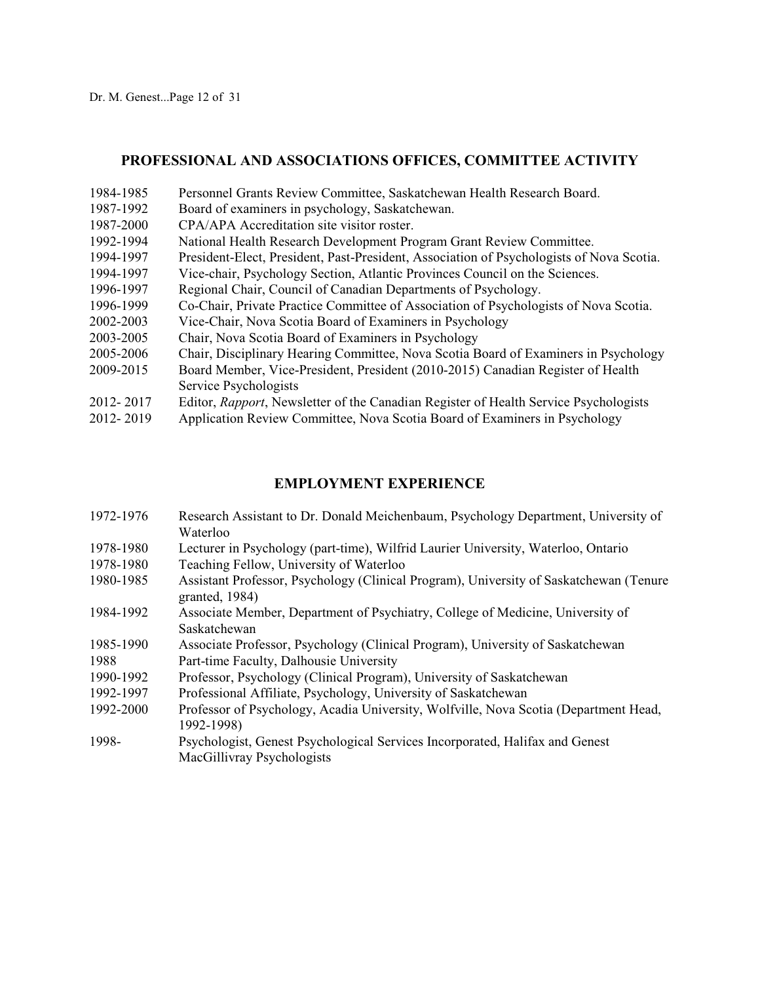## **PROFESSIONAL AND ASSOCIATIONS OFFICES, COMMITTEE ACTIVITY**

- 1984-1985 Personnel Grants Review Committee, Saskatchewan Health Research Board.
- 1987-1992 Board of examiners in psychology, Saskatchewan.
- 1987-2000 CPA/APA Accreditation site visitor roster.
- 1992-1994 National Health Research Development Program Grant Review Committee.
- 1994-1997 President-Elect, President, Past-President, Association of Psychologists of Nova Scotia.
- 1994-1997 Vice-chair, Psychology Section, Atlantic Provinces Council on the Sciences.
- 1996-1997 Regional Chair, Council of Canadian Departments of Psychology.
- 1996-1999 Co-Chair, Private Practice Committee of Association of Psychologists of Nova Scotia.
- 2002-2003 Vice-Chair, Nova Scotia Board of Examiners in Psychology
- 2003-2005 Chair, Nova Scotia Board of Examiners in Psychology
- 2005-2006 Chair, Disciplinary Hearing Committee, Nova Scotia Board of Examiners in Psychology
- 2009-2015 Board Member, Vice-President, President (2010-2015) Canadian Register of Health Service Psychologists
- 2012- 2017 Editor, *Rapport*, Newsletter of the Canadian Register of Health Service Psychologists
- 2012- 2019 Application Review Committee, Nova Scotia Board of Examiners in Psychology

# **EMPLOYMENT EXPERIENCE**

- 1972-1976 Research Assistant to Dr. Donald Meichenbaum, Psychology Department, University of Waterloo
- 1978-1980 Lecturer in Psychology (part-time), Wilfrid Laurier University, Waterloo, Ontario
- 1978-1980 Teaching Fellow, University of Waterloo
- 1980-1985 Assistant Professor, Psychology (Clinical Program), University of Saskatchewan (Tenure granted, 1984)
- 1984-1992 Associate Member, Department of Psychiatry, College of Medicine, University of Saskatchewan
- 1985-1990 Associate Professor, Psychology (Clinical Program), University of Saskatchewan 1988 Part-time Faculty, Dalhousie University
- 1990-1992 Professor, Psychology (Clinical Program), University of Saskatchewan
- 1992-1997 Professional Affiliate, Psychology, University of Saskatchewan
- 1992-2000 Professor of Psychology, Acadia University, Wolfville, Nova Scotia (Department Head, 1992-1998)
- 1998- Psychologist, Genest Psychological Services Incorporated, Halifax and Genest MacGillivray Psychologists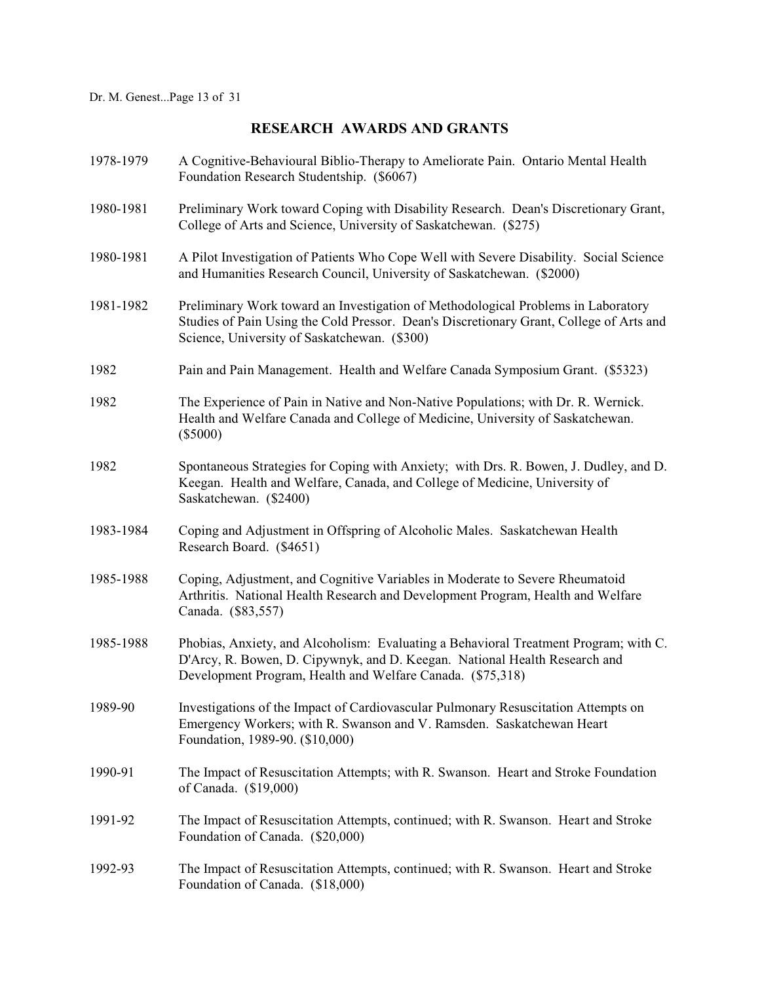# **RESEARCH AWARDS AND GRANTS**

| 1978-1979 | A Cognitive-Behavioural Biblio-Therapy to Ameliorate Pain. Ontario Mental Health<br>Foundation Research Studentship. (\$6067)                                                                                                    |
|-----------|----------------------------------------------------------------------------------------------------------------------------------------------------------------------------------------------------------------------------------|
| 1980-1981 | Preliminary Work toward Coping with Disability Research. Dean's Discretionary Grant,<br>College of Arts and Science, University of Saskatchewan. (\$275)                                                                         |
| 1980-1981 | A Pilot Investigation of Patients Who Cope Well with Severe Disability. Social Science<br>and Humanities Research Council, University of Saskatchewan. (\$2000)                                                                  |
| 1981-1982 | Preliminary Work toward an Investigation of Methodological Problems in Laboratory<br>Studies of Pain Using the Cold Pressor. Dean's Discretionary Grant, College of Arts and<br>Science, University of Saskatchewan. (\$300)     |
| 1982      | Pain and Pain Management. Health and Welfare Canada Symposium Grant. (\$5323)                                                                                                                                                    |
| 1982      | The Experience of Pain in Native and Non-Native Populations; with Dr. R. Wernick.<br>Health and Welfare Canada and College of Medicine, University of Saskatchewan.<br>$(\$5000)$                                                |
| 1982      | Spontaneous Strategies for Coping with Anxiety; with Drs. R. Bowen, J. Dudley, and D.<br>Keegan. Health and Welfare, Canada, and College of Medicine, University of<br>Saskatchewan. (\$2400)                                    |
| 1983-1984 | Coping and Adjustment in Offspring of Alcoholic Males. Saskatchewan Health<br>Research Board. (\$4651)                                                                                                                           |
| 1985-1988 | Coping, Adjustment, and Cognitive Variables in Moderate to Severe Rheumatoid<br>Arthritis. National Health Research and Development Program, Health and Welfare<br>Canada. (\$83,557)                                            |
| 1985-1988 | Phobias, Anxiety, and Alcoholism: Evaluating a Behavioral Treatment Program; with C.<br>D'Arcy, R. Bowen, D. Cipywnyk, and D. Keegan. National Health Research and<br>Development Program, Health and Welfare Canada. (\$75,318) |
| 1989-90   | Investigations of the Impact of Cardiovascular Pulmonary Resuscitation Attempts on<br>Emergency Workers; with R. Swanson and V. Ramsden. Saskatchewan Heart<br>Foundation, 1989-90. (\$10,000)                                   |
| 1990-91   | The Impact of Resuscitation Attempts; with R. Swanson. Heart and Stroke Foundation<br>of Canada. (\$19,000)                                                                                                                      |
| 1991-92   | The Impact of Resuscitation Attempts, continued; with R. Swanson. Heart and Stroke<br>Foundation of Canada. (\$20,000)                                                                                                           |
| 1992-93   | The Impact of Resuscitation Attempts, continued; with R. Swanson. Heart and Stroke<br>Foundation of Canada. (\$18,000)                                                                                                           |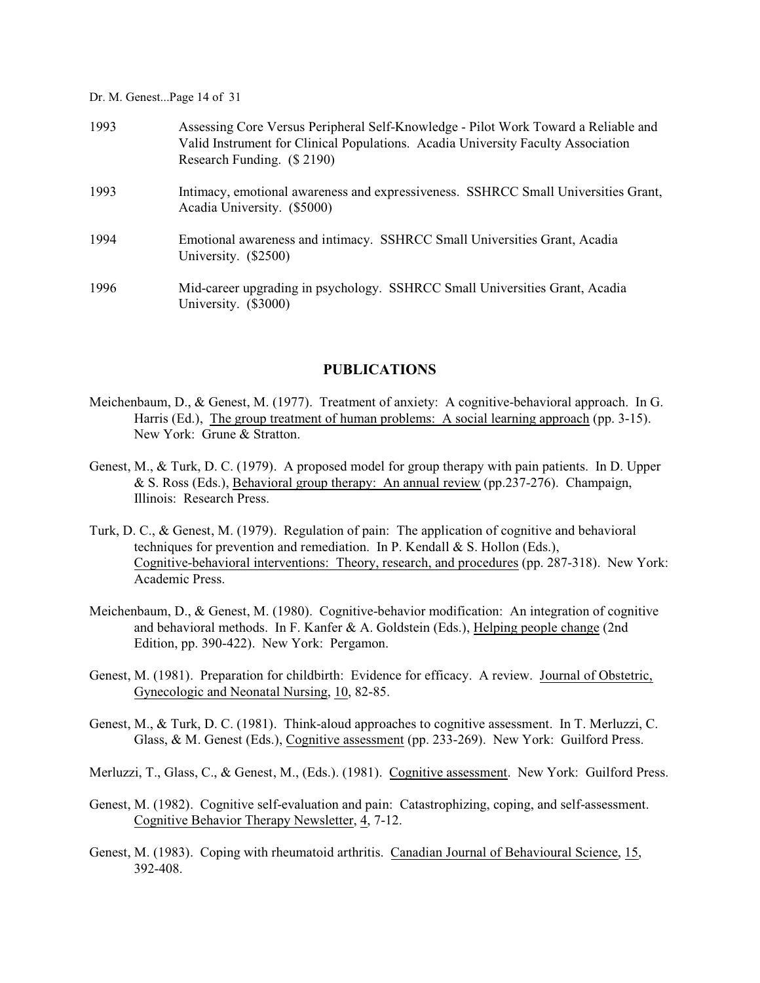Dr. M. Genest...Page 14 of 31

| 1993 | Assessing Core Versus Peripheral Self-Knowledge - Pilot Work Toward a Reliable and<br>Valid Instrument for Clinical Populations. Acadia University Faculty Association<br>Research Funding. (\$2190) |
|------|------------------------------------------------------------------------------------------------------------------------------------------------------------------------------------------------------|
| 1993 | Intimacy, emotional awareness and expressiveness. SSHRCC Small Universities Grant,<br>Acadia University. (\$5000)                                                                                    |
| 1994 | Emotional awareness and intimacy. SSHRCC Small Universities Grant, Acadia<br>University. (\$2500)                                                                                                    |
| 1996 | Mid-career upgrading in psychology. SSHRCC Small Universities Grant, Acadia<br>University. (\$3000)                                                                                                  |

# **PUBLICATIONS**

- Meichenbaum, D., & Genest, M. (1977). Treatment of anxiety: A cognitive-behavioral approach. In G. Harris (Ed.), The group treatment of human problems: A social learning approach (pp. 3-15). New York: Grune & Stratton.
- Genest, M., & Turk, D. C. (1979). A proposed model for group therapy with pain patients. In D. Upper & S. Ross (Eds.), Behavioral group therapy: An annual review (pp.237-276). Champaign, Illinois: Research Press.
- Turk, D. C., & Genest, M. (1979). Regulation of pain: The application of cognitive and behavioral techniques for prevention and remediation. In P. Kendall  $&$  S. Hollon (Eds.), Cognitive-behavioral interventions: Theory, research, and procedures (pp. 287-318). New York: Academic Press.
- Meichenbaum, D., & Genest, M. (1980). Cognitive-behavior modification: An integration of cognitive and behavioral methods. In F. Kanfer & A. Goldstein (Eds.), Helping people change (2nd Edition, pp. 390-422). New York: Pergamon.
- Genest, M. (1981). Preparation for childbirth: Evidence for efficacy. A review. Journal of Obstetric, Gynecologic and Neonatal Nursing, 10, 82-85.
- Genest, M., & Turk, D. C. (1981). Think-aloud approaches to cognitive assessment. In T. Merluzzi, C. Glass, & M. Genest (Eds.), Cognitive assessment (pp. 233-269). New York: Guilford Press.
- Merluzzi, T., Glass, C., & Genest, M., (Eds.). (1981). Cognitive assessment. New York: Guilford Press.
- Genest, M. (1982). Cognitive self-evaluation and pain: Catastrophizing, coping, and self-assessment. Cognitive Behavior Therapy Newsletter, 4, 7-12.
- Genest, M. (1983). Coping with rheumatoid arthritis. Canadian Journal of Behavioural Science, 15, 392-408.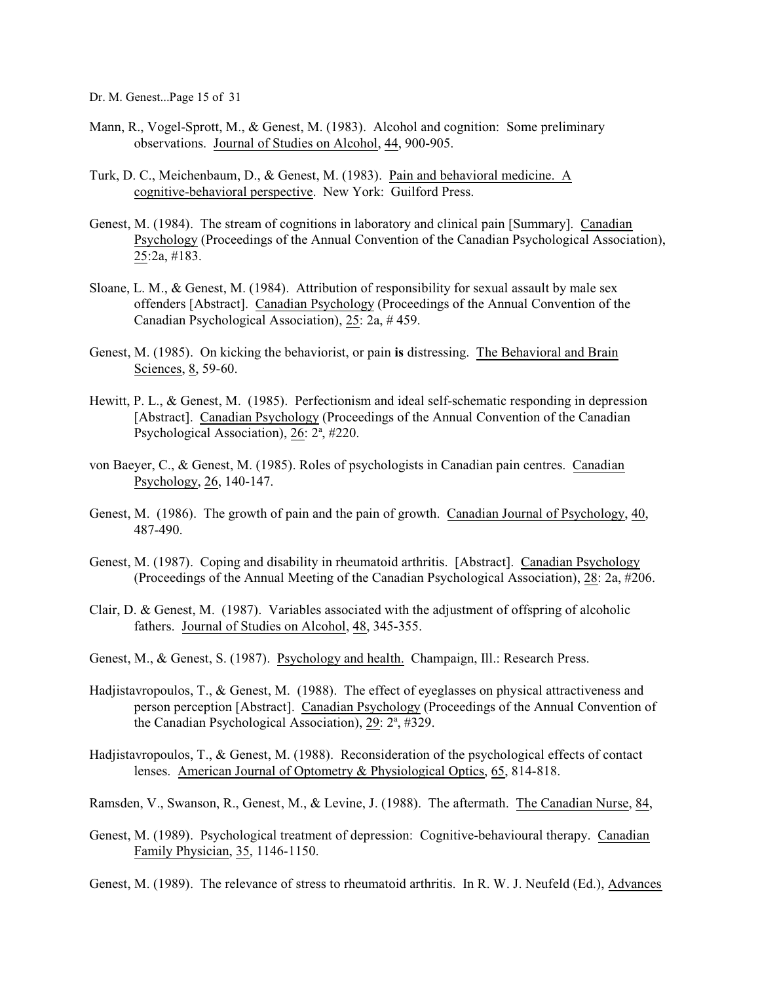Dr. M. Genest...Page 15 of 31

- Mann, R., Vogel-Sprott, M., & Genest, M. (1983). Alcohol and cognition: Some preliminary observations. Journal of Studies on Alcohol, 44, 900-905.
- Turk, D. C., Meichenbaum, D., & Genest, M. (1983). Pain and behavioral medicine. A cognitive-behavioral perspective. New York: Guilford Press.
- Genest, M. (1984). The stream of cognitions in laboratory and clinical pain [Summary]. Canadian Psychology (Proceedings of the Annual Convention of the Canadian Psychological Association), 25:2a, #183.
- Sloane, L. M., & Genest, M. (1984). Attribution of responsibility for sexual assault by male sex offenders [Abstract]. Canadian Psychology (Proceedings of the Annual Convention of the Canadian Psychological Association), 25: 2a, # 459.
- Genest, M. (1985). On kicking the behaviorist, or pain **is** distressing. The Behavioral and Brain Sciences, 8, 59-60.
- Hewitt, P. L., & Genest, M. (1985). Perfectionism and ideal self-schematic responding in depression [Abstract]. Canadian Psychology (Proceedings of the Annual Convention of the Canadian Psychological Association), 26: 2<sup>a</sup>, #220.
- von Baeyer, C., & Genest, M. (1985). Roles of psychologists in Canadian pain centres. Canadian Psychology, 26, 140-147.
- Genest, M. (1986). The growth of pain and the pain of growth. Canadian Journal of Psychology, 40, 487-490.
- Genest, M. (1987). Coping and disability in rheumatoid arthritis. [Abstract]. Canadian Psychology (Proceedings of the Annual Meeting of the Canadian Psychological Association), 28: 2a, #206.
- Clair, D. & Genest, M. (1987). Variables associated with the adjustment of offspring of alcoholic fathers. Journal of Studies on Alcohol, 48, 345-355.
- Genest, M., & Genest, S. (1987). Psychology and health. Champaign, Ill.: Research Press.
- Hadjistavropoulos, T., & Genest, M. (1988). The effect of eyeglasses on physical attractiveness and person perception [Abstract]. Canadian Psychology (Proceedings of the Annual Convention of the Canadian Psychological Association),  $29: 2^a$ , #329.
- Hadjistavropoulos, T., & Genest, M. (1988). Reconsideration of the psychological effects of contact lenses. American Journal of Optometry & Physiological Optics, 65, 814-818.
- Ramsden, V., Swanson, R., Genest, M., & Levine, J. (1988). The aftermath. The Canadian Nurse, 84,
- Genest, M. (1989). Psychological treatment of depression: Cognitive-behavioural therapy. Canadian Family Physician, 35, 1146-1150.

Genest, M. (1989). The relevance of stress to rheumatoid arthritis. In R. W. J. Neufeld (Ed.), Advances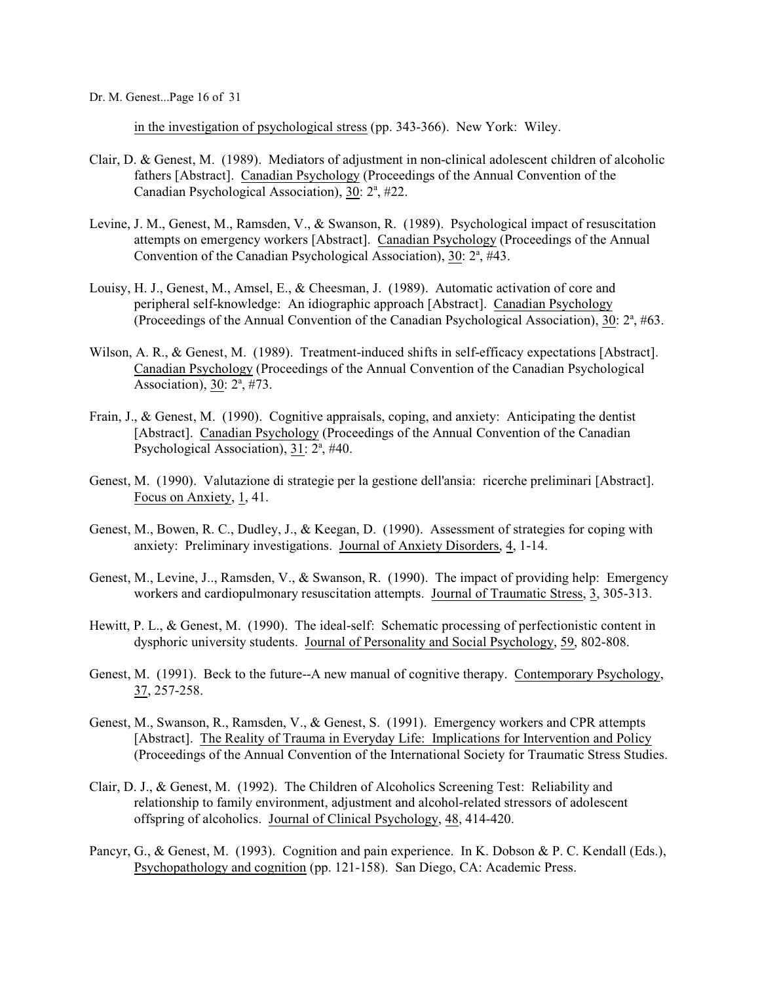in the investigation of psychological stress (pp. 343-366). New York: Wiley.

- Clair, D. & Genest, M. (1989). Mediators of adjustment in non-clinical adolescent children of alcoholic fathers [Abstract]. Canadian Psychology (Proceedings of the Annual Convention of the Canadian Psychological Association), 30: 2<sup>a</sup>, #22.
- Levine, J. M., Genest, M., Ramsden, V., & Swanson, R. (1989). Psychological impact of resuscitation attempts on emergency workers [Abstract]. Canadian Psychology (Proceedings of the Annual Convention of the Canadian Psychological Association),  $30: 2^a$ , #43.
- Louisy, H. J., Genest, M., Amsel, E., & Cheesman, J. (1989). Automatic activation of core and peripheral self-knowledge: An idiographic approach [Abstract]. Canadian Psychology (Proceedings of the Annual Convention of the Canadian Psychological Association),  $30: 2^a$ , #63.
- Wilson, A. R., & Genest, M. (1989). Treatment-induced shifts in self-efficacy expectations [Abstract]. Canadian Psychology (Proceedings of the Annual Convention of the Canadian Psychological Association),  $30: 2^a, \#73$ .
- Frain, J., & Genest, M. (1990). Cognitive appraisals, coping, and anxiety: Anticipating the dentist [Abstract]. Canadian Psychology (Proceedings of the Annual Convention of the Canadian Psychological Association),  $31: 2^a$ , #40.
- Genest, M. (1990). Valutazione di strategie per la gestione dell'ansia: ricerche preliminari [Abstract]. Focus on Anxiety, 1, 41.
- Genest, M., Bowen, R. C., Dudley, J., & Keegan, D. (1990). Assessment of strategies for coping with anxiety: Preliminary investigations. Journal of Anxiety Disorders, 4, 1-14.
- Genest, M., Levine, J.., Ramsden, V., & Swanson, R. (1990). The impact of providing help: Emergency workers and cardiopulmonary resuscitation attempts. Journal of Traumatic Stress, 3, 305-313.
- Hewitt, P. L., & Genest, M. (1990). The ideal-self: Schematic processing of perfectionistic content in dysphoric university students. Journal of Personality and Social Psychology, 59, 802-808.
- Genest, M. (1991). Beck to the future--A new manual of cognitive therapy. Contemporary Psychology, 37, 257-258.
- Genest, M., Swanson, R., Ramsden, V., & Genest, S. (1991). Emergency workers and CPR attempts [Abstract]. The Reality of Trauma in Everyday Life: Implications for Intervention and Policy (Proceedings of the Annual Convention of the International Society for Traumatic Stress Studies.
- Clair, D. J., & Genest, M. (1992). The Children of Alcoholics Screening Test: Reliability and relationship to family environment, adjustment and alcohol-related stressors of adolescent offspring of alcoholics. Journal of Clinical Psychology, 48, 414-420.
- Pancyr, G., & Genest, M. (1993). Cognition and pain experience. In K. Dobson & P. C. Kendall (Eds.), Psychopathology and cognition (pp. 121-158). San Diego, CA: Academic Press.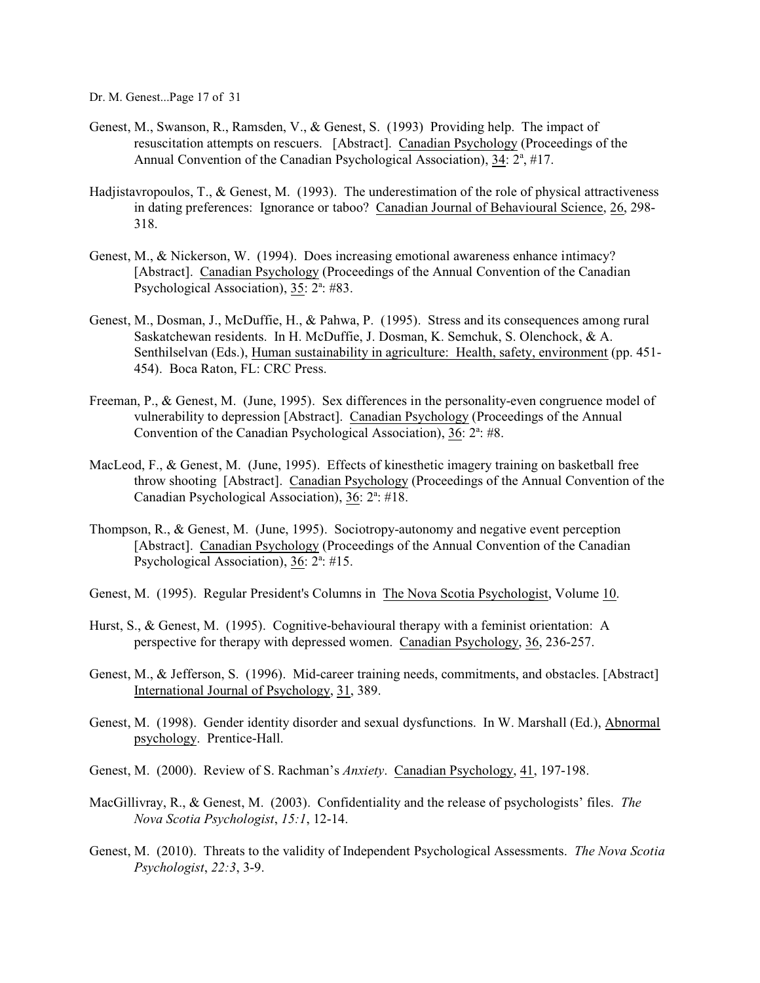Dr. M. Genest...Page 17 of 31

- Genest, M., Swanson, R., Ramsden, V., & Genest, S. (1993) Providing help. The impact of resuscitation attempts on rescuers. [Abstract]. Canadian Psychology (Proceedings of the Annual Convention of the Canadian Psychological Association), 34: 2<sup>a</sup>, #17.
- Hadjistavropoulos, T., & Genest, M. (1993). The underestimation of the role of physical attractiveness in dating preferences: Ignorance or taboo? Canadian Journal of Behavioural Science, 26, 298- 318.
- Genest, M., & Nickerson, W. (1994). Does increasing emotional awareness enhance intimacy? [Abstract]. Canadian Psychology (Proceedings of the Annual Convention of the Canadian Psychological Association),  $35: 2^a: 483$ .
- Genest, M., Dosman, J., McDuffie, H., & Pahwa, P. (1995). Stress and its consequences among rural Saskatchewan residents. In H. McDuffie, J. Dosman, K. Semchuk, S. Olenchock, & A. Senthilselvan (Eds.), Human sustainability in agriculture: Health, safety, environment (pp. 451- 454). Boca Raton, FL: CRC Press.
- Freeman, P., & Genest, M. (June, 1995). Sex differences in the personality-even congruence model of vulnerability to depression [Abstract]. Canadian Psychology (Proceedings of the Annual Convention of the Canadian Psychological Association),  $36: 2^a: #8$ .
- MacLeod, F., & Genest, M. (June, 1995). Effects of kinesthetic imagery training on basketball free throw shooting [Abstract]. Canadian Psychology (Proceedings of the Annual Convention of the Canadian Psychological Association), 36: 2<sup>a</sup>: #18.
- Thompson, R., & Genest, M. (June, 1995). Sociotropy-autonomy and negative event perception [Abstract]. Canadian Psychology (Proceedings of the Annual Convention of the Canadian Psychological Association),  $36: 2^a: \#15$ .
- Genest, M. (1995). Regular President's Columns in The Nova Scotia Psychologist, Volume 10.
- Hurst, S., & Genest, M. (1995). Cognitive-behavioural therapy with a feminist orientation: A perspective for therapy with depressed women. Canadian Psychology, 36, 236-257.
- Genest, M., & Jefferson, S. (1996). Mid-career training needs, commitments, and obstacles. [Abstract] International Journal of Psychology, 31, 389.
- Genest, M. (1998). Gender identity disorder and sexual dysfunctions. In W. Marshall (Ed.), Abnormal psychology. Prentice-Hall.
- Genest, M. (2000). Review of S. Rachman's *Anxiety*. Canadian Psychology, 41, 197-198.
- MacGillivray, R., & Genest, M. (2003). Confidentiality and the release of psychologists' files. *The Nova Scotia Psychologist*, *15:1*, 12-14.
- Genest, M. (2010). Threats to the validity of Independent Psychological Assessments. *The Nova Scotia Psychologist*, *22:3*, 3-9.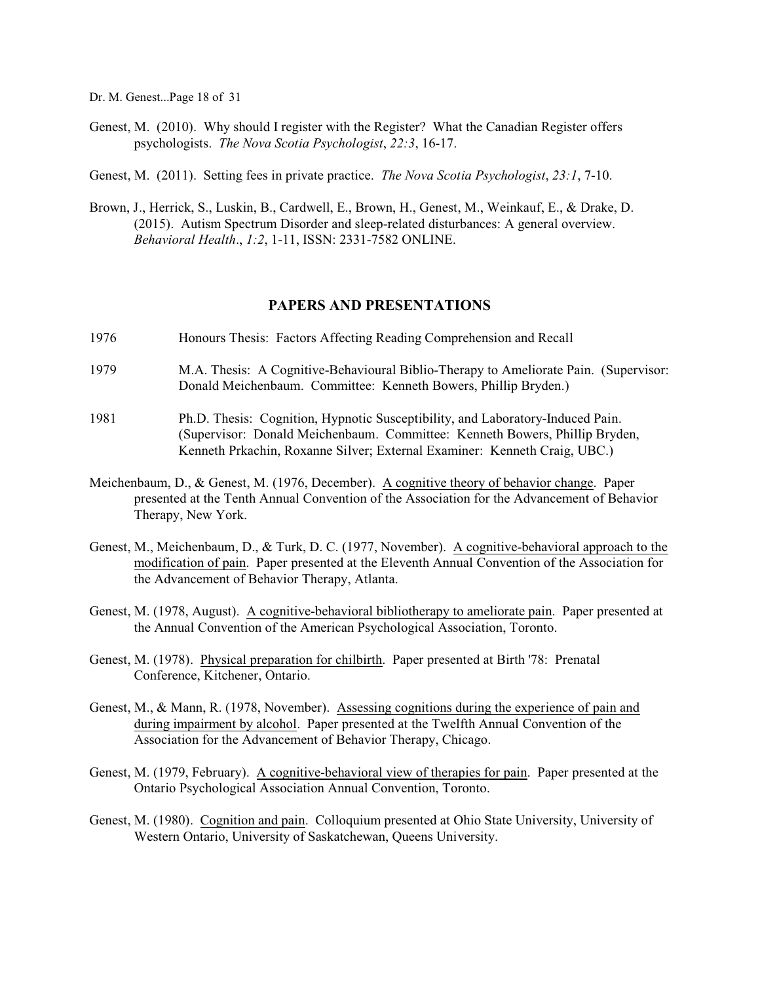Dr. M. Genest...Page 18 of 31

- Genest, M. (2010). Why should I register with the Register? What the Canadian Register offers psychologists. *The Nova Scotia Psychologist*, *22:3*, 16-17.
- Genest, M. (2011). Setting fees in private practice. *The Nova Scotia Psychologist*, *23:1*, 7-10.
- Brown, J., Herrick, S., Luskin, B., Cardwell, E., Brown, H., Genest, M., Weinkauf, E., & Drake, D. (2015). Autism Spectrum Disorder and sleep-related disturbances: A general overview. *Behavioral Health*., *1:2*, 1-11, ISSN: 2331-7582 ONLINE.

#### **PAPERS AND PRESENTATIONS**

- 1976 Honours Thesis: Factors Affecting Reading Comprehension and Recall
- 1979 M.A. Thesis: A Cognitive-Behavioural Biblio-Therapy to Ameliorate Pain. (Supervisor: Donald Meichenbaum. Committee: Kenneth Bowers, Phillip Bryden.)
- 1981 Ph.D. Thesis: Cognition, Hypnotic Susceptibility, and Laboratory-Induced Pain. (Supervisor: Donald Meichenbaum. Committee: Kenneth Bowers, Phillip Bryden, Kenneth Prkachin, Roxanne Silver; External Examiner: Kenneth Craig, UBC.)
- Meichenbaum, D., & Genest, M. (1976, December). A cognitive theory of behavior change. Paper presented at the Tenth Annual Convention of the Association for the Advancement of Behavior Therapy, New York.
- Genest, M., Meichenbaum, D., & Turk, D. C. (1977, November). A cognitive-behavioral approach to the modification of pain. Paper presented at the Eleventh Annual Convention of the Association for the Advancement of Behavior Therapy, Atlanta.
- Genest, M. (1978, August). A cognitive-behavioral bibliotherapy to ameliorate pain. Paper presented at the Annual Convention of the American Psychological Association, Toronto.
- Genest, M. (1978). Physical preparation for chilbirth. Paper presented at Birth '78: Prenatal Conference, Kitchener, Ontario.
- Genest, M., & Mann, R. (1978, November). Assessing cognitions during the experience of pain and during impairment by alcohol. Paper presented at the Twelfth Annual Convention of the Association for the Advancement of Behavior Therapy, Chicago.
- Genest, M. (1979, February). A cognitive-behavioral view of therapies for pain. Paper presented at the Ontario Psychological Association Annual Convention, Toronto.
- Genest, M. (1980). Cognition and pain. Colloquium presented at Ohio State University, University of Western Ontario, University of Saskatchewan, Queens University.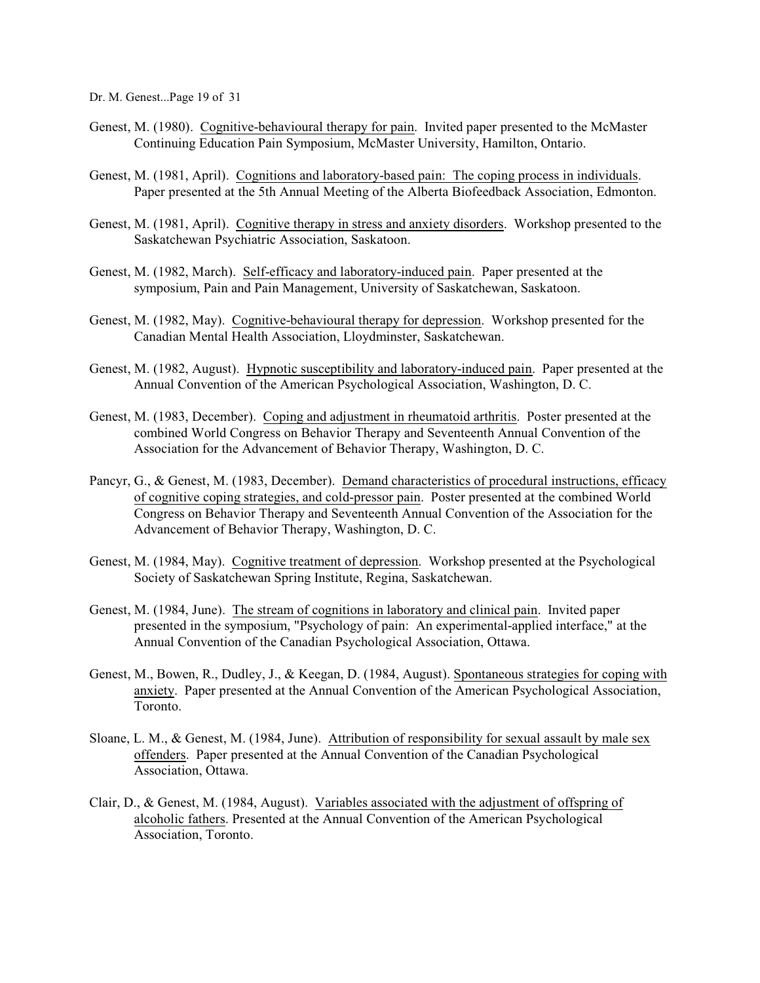Dr. M. Genest...Page 19 of 31

- Genest, M. (1980). Cognitive-behavioural therapy for pain. Invited paper presented to the McMaster Continuing Education Pain Symposium, McMaster University, Hamilton, Ontario.
- Genest, M. (1981, April). Cognitions and laboratory-based pain: The coping process in individuals. Paper presented at the 5th Annual Meeting of the Alberta Biofeedback Association, Edmonton.
- Genest, M. (1981, April). Cognitive therapy in stress and anxiety disorders. Workshop presented to the Saskatchewan Psychiatric Association, Saskatoon.
- Genest, M. (1982, March). Self-efficacy and laboratory-induced pain. Paper presented at the symposium, Pain and Pain Management, University of Saskatchewan, Saskatoon.
- Genest, M. (1982, May). Cognitive-behavioural therapy for depression. Workshop presented for the Canadian Mental Health Association, Lloydminster, Saskatchewan.
- Genest, M. (1982, August). Hypnotic susceptibility and laboratory-induced pain. Paper presented at the Annual Convention of the American Psychological Association, Washington, D. C.
- Genest, M. (1983, December). Coping and adjustment in rheumatoid arthritis. Poster presented at the combined World Congress on Behavior Therapy and Seventeenth Annual Convention of the Association for the Advancement of Behavior Therapy, Washington, D. C.
- Pancyr, G., & Genest, M. (1983, December). Demand characteristics of procedural instructions, efficacy of cognitive coping strategies, and cold-pressor pain. Poster presented at the combined World Congress on Behavior Therapy and Seventeenth Annual Convention of the Association for the Advancement of Behavior Therapy, Washington, D. C.
- Genest, M. (1984, May). Cognitive treatment of depression. Workshop presented at the Psychological Society of Saskatchewan Spring Institute, Regina, Saskatchewan.
- Genest, M. (1984, June). The stream of cognitions in laboratory and clinical pain. Invited paper presented in the symposium, "Psychology of pain: An experimental-applied interface," at the Annual Convention of the Canadian Psychological Association, Ottawa.
- Genest, M., Bowen, R., Dudley, J., & Keegan, D. (1984, August). Spontaneous strategies for coping with anxiety. Paper presented at the Annual Convention of the American Psychological Association, Toronto.
- Sloane, L. M., & Genest, M. (1984, June). Attribution of responsibility for sexual assault by male sex offenders. Paper presented at the Annual Convention of the Canadian Psychological Association, Ottawa.
- Clair, D., & Genest, M. (1984, August). Variables associated with the adjustment of offspring of alcoholic fathers. Presented at the Annual Convention of the American Psychological Association, Toronto.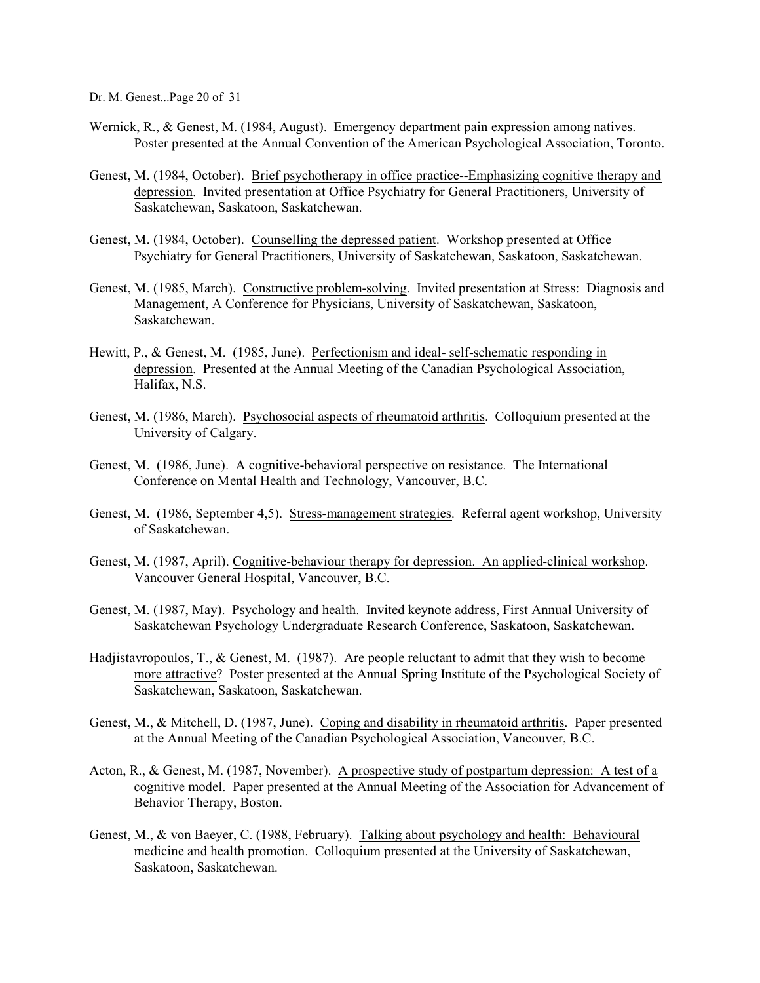Dr. M. Genest...Page 20 of 31

- Wernick, R., & Genest, M. (1984, August). Emergency department pain expression among natives. Poster presented at the Annual Convention of the American Psychological Association, Toronto.
- Genest, M. (1984, October). Brief psychotherapy in office practice--Emphasizing cognitive therapy and depression. Invited presentation at Office Psychiatry for General Practitioners, University of Saskatchewan, Saskatoon, Saskatchewan.
- Genest, M. (1984, October). Counselling the depressed patient. Workshop presented at Office Psychiatry for General Practitioners, University of Saskatchewan, Saskatoon, Saskatchewan.
- Genest, M. (1985, March). Constructive problem-solving. Invited presentation at Stress: Diagnosis and Management, A Conference for Physicians, University of Saskatchewan, Saskatoon, Saskatchewan.
- Hewitt, P., & Genest, M. (1985, June). Perfectionism and ideal- self-schematic responding in depression. Presented at the Annual Meeting of the Canadian Psychological Association, Halifax, N.S.
- Genest, M. (1986, March). Psychosocial aspects of rheumatoid arthritis. Colloquium presented at the University of Calgary.
- Genest, M. (1986, June). A cognitive-behavioral perspective on resistance. The International Conference on Mental Health and Technology, Vancouver, B.C.
- Genest, M. (1986, September 4,5). Stress-management strategies. Referral agent workshop, University of Saskatchewan.
- Genest, M. (1987, April). Cognitive-behaviour therapy for depression. An applied-clinical workshop. Vancouver General Hospital, Vancouver, B.C.
- Genest, M. (1987, May). Psychology and health. Invited keynote address, First Annual University of Saskatchewan Psychology Undergraduate Research Conference, Saskatoon, Saskatchewan.
- Hadjistavropoulos, T., & Genest, M. (1987). Are people reluctant to admit that they wish to become more attractive? Poster presented at the Annual Spring Institute of the Psychological Society of Saskatchewan, Saskatoon, Saskatchewan.
- Genest, M., & Mitchell, D. (1987, June). Coping and disability in rheumatoid arthritis. Paper presented at the Annual Meeting of the Canadian Psychological Association, Vancouver, B.C.
- Acton, R., & Genest, M. (1987, November). A prospective study of postpartum depression: A test of a cognitive model. Paper presented at the Annual Meeting of the Association for Advancement of Behavior Therapy, Boston.
- Genest, M., & von Baeyer, C. (1988, February). Talking about psychology and health: Behavioural medicine and health promotion. Colloquium presented at the University of Saskatchewan, Saskatoon, Saskatchewan.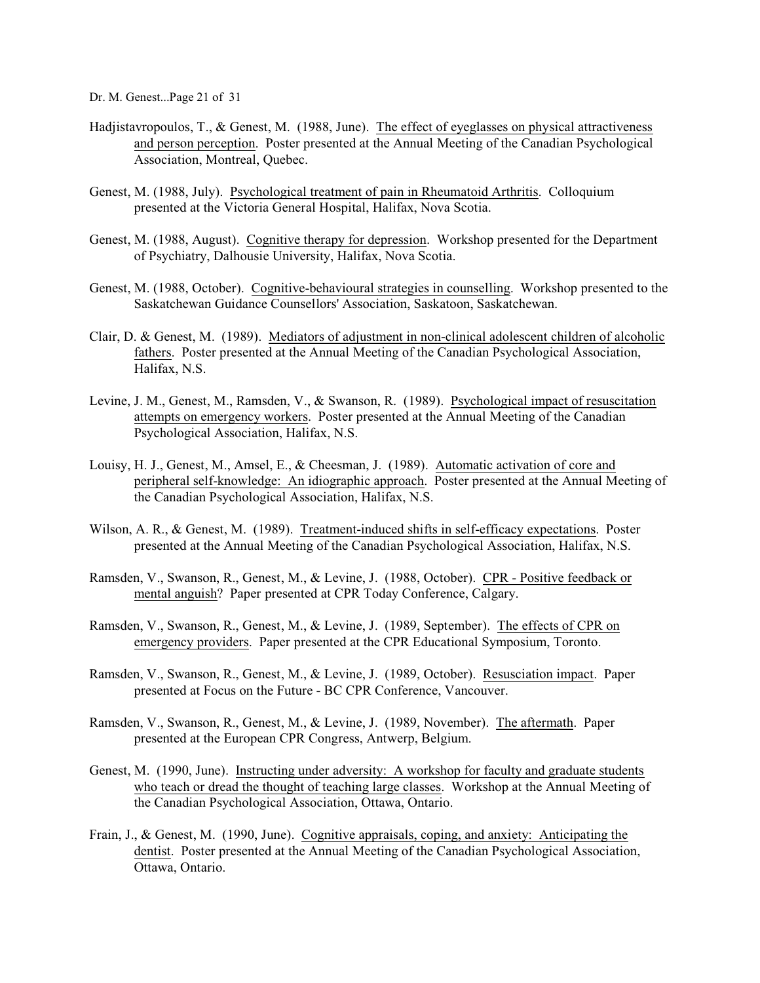Dr. M. Genest...Page 21 of 31

- Hadjistavropoulos, T., & Genest, M. (1988, June). The effect of eyeglasses on physical attractiveness and person perception. Poster presented at the Annual Meeting of the Canadian Psychological Association, Montreal, Quebec.
- Genest, M. (1988, July). Psychological treatment of pain in Rheumatoid Arthritis. Colloquium presented at the Victoria General Hospital, Halifax, Nova Scotia.
- Genest, M. (1988, August). Cognitive therapy for depression. Workshop presented for the Department of Psychiatry, Dalhousie University, Halifax, Nova Scotia.
- Genest, M. (1988, October). Cognitive-behavioural strategies in counselling. Workshop presented to the Saskatchewan Guidance Counsellors' Association, Saskatoon, Saskatchewan.
- Clair, D. & Genest, M. (1989). Mediators of adjustment in non-clinical adolescent children of alcoholic fathers. Poster presented at the Annual Meeting of the Canadian Psychological Association, Halifax, N.S.
- Levine, J. M., Genest, M., Ramsden, V., & Swanson, R. (1989). Psychological impact of resuscitation attempts on emergency workers. Poster presented at the Annual Meeting of the Canadian Psychological Association, Halifax, N.S.
- Louisy, H. J., Genest, M., Amsel, E., & Cheesman, J. (1989). Automatic activation of core and peripheral self-knowledge: An idiographic approach. Poster presented at the Annual Meeting of the Canadian Psychological Association, Halifax, N.S.
- Wilson, A. R., & Genest, M. (1989). Treatment-induced shifts in self-efficacy expectations. Poster presented at the Annual Meeting of the Canadian Psychological Association, Halifax, N.S.
- Ramsden, V., Swanson, R., Genest, M., & Levine, J. (1988, October). CPR Positive feedback or mental anguish? Paper presented at CPR Today Conference, Calgary.
- Ramsden, V., Swanson, R., Genest, M., & Levine, J. (1989, September). The effects of CPR on emergency providers. Paper presented at the CPR Educational Symposium, Toronto.
- Ramsden, V., Swanson, R., Genest, M., & Levine, J. (1989, October). Resusciation impact. Paper presented at Focus on the Future - BC CPR Conference, Vancouver.
- Ramsden, V., Swanson, R., Genest, M., & Levine, J. (1989, November). The aftermath. Paper presented at the European CPR Congress, Antwerp, Belgium.
- Genest, M. (1990, June). Instructing under adversity: A workshop for faculty and graduate students who teach or dread the thought of teaching large classes. Workshop at the Annual Meeting of the Canadian Psychological Association, Ottawa, Ontario.
- Frain, J., & Genest, M. (1990, June). Cognitive appraisals, coping, and anxiety: Anticipating the dentist. Poster presented at the Annual Meeting of the Canadian Psychological Association, Ottawa, Ontario.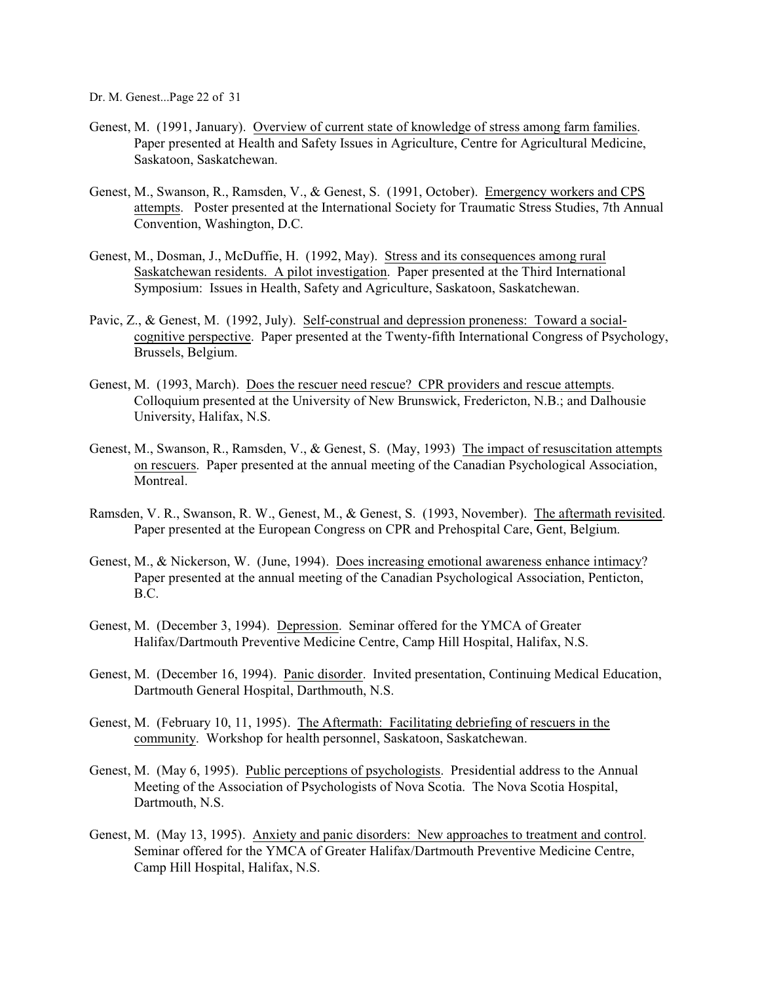Dr. M. Genest...Page 22 of 31

- Genest, M. (1991, January). Overview of current state of knowledge of stress among farm families. Paper presented at Health and Safety Issues in Agriculture, Centre for Agricultural Medicine, Saskatoon, Saskatchewan.
- Genest, M., Swanson, R., Ramsden, V., & Genest, S. (1991, October). Emergency workers and CPS attempts. Poster presented at the International Society for Traumatic Stress Studies, 7th Annual Convention, Washington, D.C.
- Genest, M., Dosman, J., McDuffie, H. (1992, May). Stress and its consequences among rural Saskatchewan residents. A pilot investigation. Paper presented at the Third International Symposium: Issues in Health, Safety and Agriculture, Saskatoon, Saskatchewan.
- Pavic, Z., & Genest, M. (1992, July). Self-construal and depression proneness: Toward a socialcognitive perspective. Paper presented at the Twenty-fifth International Congress of Psychology, Brussels, Belgium.
- Genest, M. (1993, March). Does the rescuer need rescue? CPR providers and rescue attempts. Colloquium presented at the University of New Brunswick, Fredericton, N.B.; and Dalhousie University, Halifax, N.S.
- Genest, M., Swanson, R., Ramsden, V., & Genest, S. (May, 1993) The impact of resuscitation attempts on rescuers. Paper presented at the annual meeting of the Canadian Psychological Association, Montreal.
- Ramsden, V. R., Swanson, R. W., Genest, M., & Genest, S. (1993, November). The aftermath revisited. Paper presented at the European Congress on CPR and Prehospital Care, Gent, Belgium.
- Genest, M., & Nickerson, W. (June, 1994). Does increasing emotional awareness enhance intimacy? Paper presented at the annual meeting of the Canadian Psychological Association, Penticton, B.C.
- Genest, M. (December 3, 1994). Depression. Seminar offered for the YMCA of Greater Halifax/Dartmouth Preventive Medicine Centre, Camp Hill Hospital, Halifax, N.S.
- Genest, M. (December 16, 1994). Panic disorder. Invited presentation, Continuing Medical Education, Dartmouth General Hospital, Darthmouth, N.S.
- Genest, M. (February 10, 11, 1995). The Aftermath: Facilitating debriefing of rescuers in the community. Workshop for health personnel, Saskatoon, Saskatchewan.
- Genest, M. (May 6, 1995). Public perceptions of psychologists. Presidential address to the Annual Meeting of the Association of Psychologists of Nova Scotia. The Nova Scotia Hospital, Dartmouth, N.S.
- Genest, M. (May 13, 1995). Anxiety and panic disorders: New approaches to treatment and control. Seminar offered for the YMCA of Greater Halifax/Dartmouth Preventive Medicine Centre, Camp Hill Hospital, Halifax, N.S.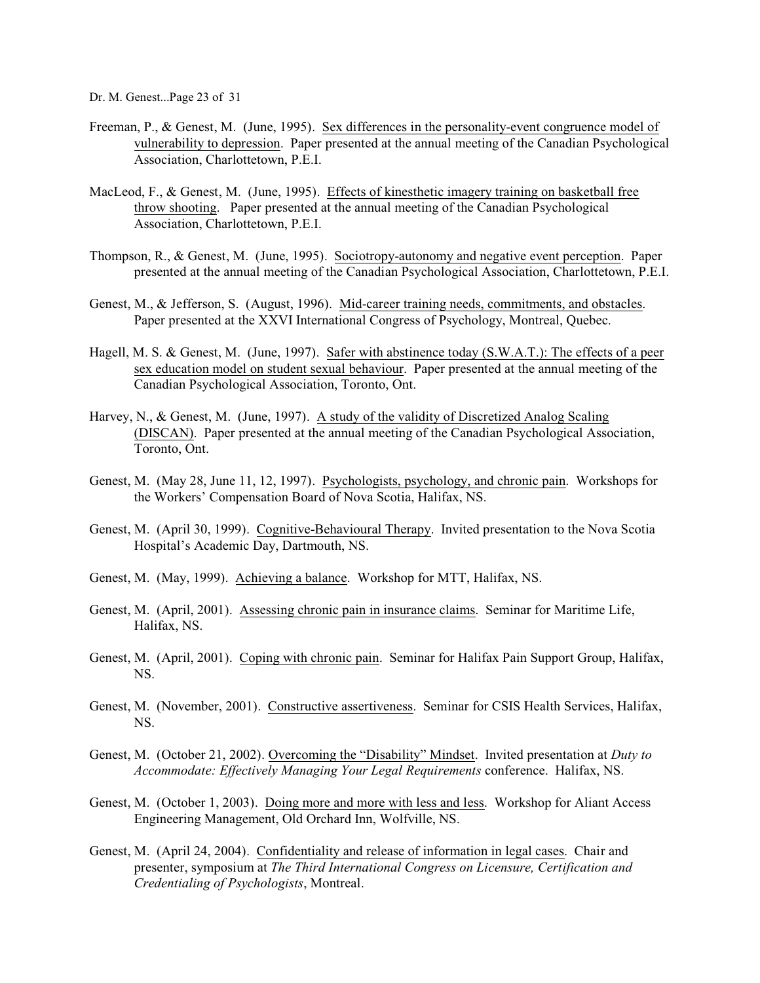Dr. M. Genest...Page 23 of 31

- Freeman, P., & Genest, M. (June, 1995). Sex differences in the personality-event congruence model of vulnerability to depression. Paper presented at the annual meeting of the Canadian Psychological Association, Charlottetown, P.E.I.
- MacLeod, F., & Genest, M. (June, 1995). Effects of kinesthetic imagery training on basketball free throw shooting. Paper presented at the annual meeting of the Canadian Psychological Association, Charlottetown, P.E.I.
- Thompson, R., & Genest, M. (June, 1995). Sociotropy-autonomy and negative event perception. Paper presented at the annual meeting of the Canadian Psychological Association, Charlottetown, P.E.I.
- Genest, M., & Jefferson, S. (August, 1996). Mid-career training needs, commitments, and obstacles. Paper presented at the XXVI International Congress of Psychology, Montreal, Quebec.
- Hagell, M. S. & Genest, M. (June, 1997). Safer with abstinence today (S.W.A.T.): The effects of a peer sex education model on student sexual behaviour. Paper presented at the annual meeting of the Canadian Psychological Association, Toronto, Ont.
- Harvey, N., & Genest, M. (June, 1997). A study of the validity of Discretized Analog Scaling (DISCAN). Paper presented at the annual meeting of the Canadian Psychological Association, Toronto, Ont.
- Genest, M. (May 28, June 11, 12, 1997). Psychologists, psychology, and chronic pain. Workshops for the Workers' Compensation Board of Nova Scotia, Halifax, NS.
- Genest, M. (April 30, 1999). Cognitive-Behavioural Therapy. Invited presentation to the Nova Scotia Hospital's Academic Day, Dartmouth, NS.
- Genest, M. (May, 1999). Achieving a balance. Workshop for MTT, Halifax, NS.
- Genest, M. (April, 2001). Assessing chronic pain in insurance claims. Seminar for Maritime Life, Halifax, NS.
- Genest, M. (April, 2001). Coping with chronic pain. Seminar for Halifax Pain Support Group, Halifax, NS.
- Genest, M. (November, 2001). Constructive assertiveness. Seminar for CSIS Health Services, Halifax, NS.
- Genest, M. (October 21, 2002). Overcoming the "Disability" Mindset. Invited presentation at *Duty to Accommodate: Effectively Managing Your Legal Requirements* conference. Halifax, NS.
- Genest, M. (October 1, 2003). Doing more and more with less and less. Workshop for Aliant Access Engineering Management, Old Orchard Inn, Wolfville, NS.
- Genest, M. (April 24, 2004). Confidentiality and release of information in legal cases. Chair and presenter, symposium at *The Third International Congress on Licensure, Certification and Credentialing of Psychologists*, Montreal.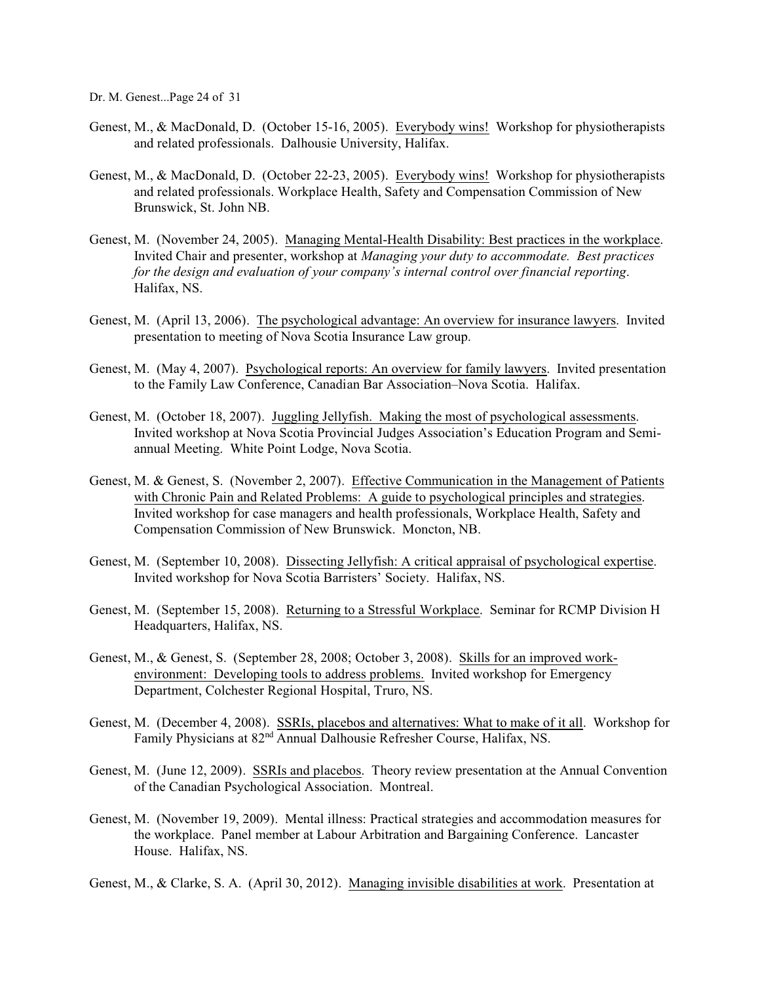Dr. M. Genest...Page 24 of 31

- Genest, M., & MacDonald, D. (October 15-16, 2005). Everybody wins! Workshop for physiotherapists and related professionals. Dalhousie University, Halifax.
- Genest, M., & MacDonald, D. (October 22-23, 2005). Everybody wins! Workshop for physiotherapists and related professionals. Workplace Health, Safety and Compensation Commission of New Brunswick, St. John NB.
- Genest, M. (November 24, 2005). Managing Mental-Health Disability: Best practices in the workplace. Invited Chair and presenter, workshop at *Managing your duty to accommodate. Best practices for the design and evaluation of your company's internal control over financial reporting*. Halifax, NS.
- Genest, M. (April 13, 2006). The psychological advantage: An overview for insurance lawyers. Invited presentation to meeting of Nova Scotia Insurance Law group.
- Genest, M. (May 4, 2007). Psychological reports: An overview for family lawyers. Invited presentation to the Family Law Conference, Canadian Bar Association–Nova Scotia. Halifax.
- Genest, M. (October 18, 2007). Juggling Jellyfish. Making the most of psychological assessments. Invited workshop at Nova Scotia Provincial Judges Association's Education Program and Semiannual Meeting. White Point Lodge, Nova Scotia.
- Genest, M. & Genest, S. (November 2, 2007). Effective Communication in the Management of Patients with Chronic Pain and Related Problems: A guide to psychological principles and strategies. Invited workshop for case managers and health professionals, Workplace Health, Safety and Compensation Commission of New Brunswick. Moncton, NB.
- Genest, M. (September 10, 2008). Dissecting Jellyfish: A critical appraisal of psychological expertise. Invited workshop for Nova Scotia Barristers' Society. Halifax, NS.
- Genest, M. (September 15, 2008). Returning to a Stressful Workplace. Seminar for RCMP Division H Headquarters, Halifax, NS.
- Genest, M., & Genest, S. (September 28, 2008; October 3, 2008). Skills for an improved workenvironment: Developing tools to address problems. Invited workshop for Emergency Department, Colchester Regional Hospital, Truro, NS.
- Genest, M. (December 4, 2008). SSRIs, placebos and alternatives: What to make of it all. Workshop for Family Physicians at 82<sup>nd</sup> Annual Dalhousie Refresher Course, Halifax, NS.
- Genest, M. (June 12, 2009). SSRIs and placebos. Theory review presentation at the Annual Convention of the Canadian Psychological Association. Montreal.
- Genest, M. (November 19, 2009). Mental illness: Practical strategies and accommodation measures for the workplace. Panel member at Labour Arbitration and Bargaining Conference. Lancaster House. Halifax, NS.
- Genest, M., & Clarke, S. A. (April 30, 2012). Managing invisible disabilities at work. Presentation at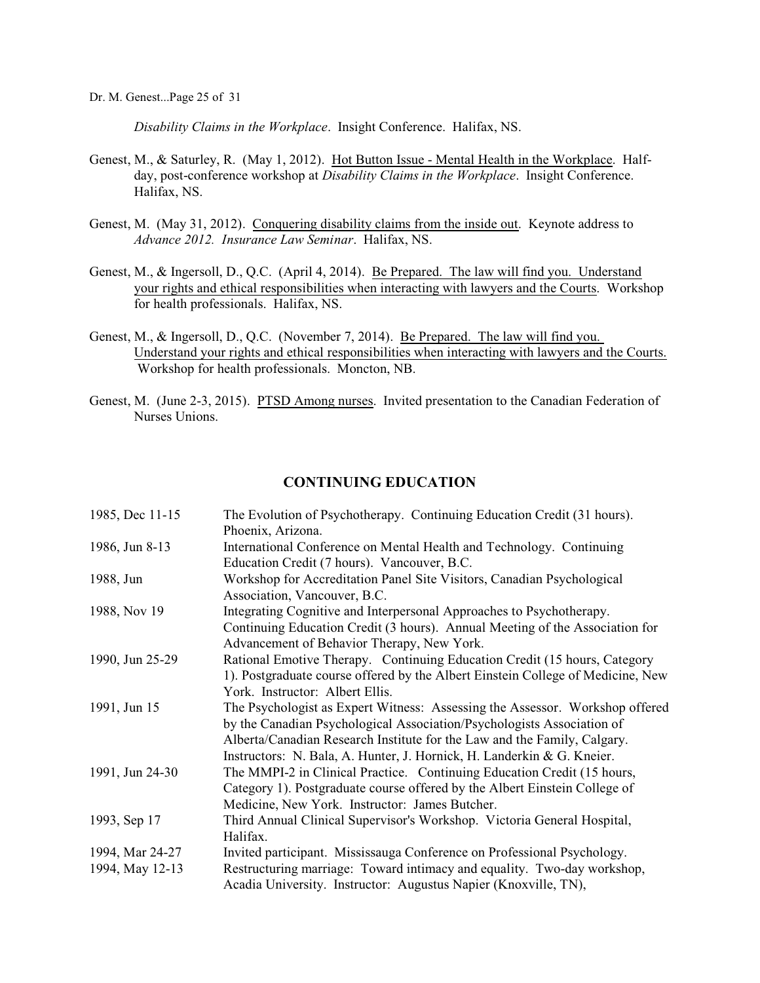*Disability Claims in the Workplace*. Insight Conference. Halifax, NS.

- Genest, M., & Saturley, R. (May 1, 2012). Hot Button Issue Mental Health in the Workplace. Halfday, post-conference workshop at *Disability Claims in the Workplace*. Insight Conference. Halifax, NS.
- Genest, M. (May 31, 2012). Conquering disability claims from the inside out. Keynote address to *Advance 2012. Insurance Law Seminar*. Halifax, NS.
- Genest, M., & Ingersoll, D., Q.C. (April 4, 2014). Be Prepared. The law will find you. Understand your rights and ethical responsibilities when interacting with lawyers and the Courts. Workshop for health professionals. Halifax, NS.
- Genest, M., & Ingersoll, D., Q.C. (November 7, 2014). Be Prepared. The law will find you. Understand your rights and ethical responsibilities when interacting with lawyers and the Courts. Workshop for health professionals. Moncton, NB.
- Genest, M. (June 2-3, 2015). PTSD Among nurses. Invited presentation to the Canadian Federation of Nurses Unions.

## **CONTINUING EDUCATION**

| 1985, Dec 11-15 | The Evolution of Psychotherapy. Continuing Education Credit (31 hours).         |
|-----------------|---------------------------------------------------------------------------------|
|                 | Phoenix, Arizona.                                                               |
| 1986, Jun 8-13  | International Conference on Mental Health and Technology. Continuing            |
|                 | Education Credit (7 hours). Vancouver, B.C.                                     |
| 1988, Jun       | Workshop for Accreditation Panel Site Visitors, Canadian Psychological          |
|                 | Association, Vancouver, B.C.                                                    |
| 1988, Nov 19    | Integrating Cognitive and Interpersonal Approaches to Psychotherapy.            |
|                 | Continuing Education Credit (3 hours). Annual Meeting of the Association for    |
|                 | Advancement of Behavior Therapy, New York.                                      |
| 1990, Jun 25-29 | Rational Emotive Therapy. Continuing Education Credit (15 hours, Category       |
|                 | 1). Postgraduate course offered by the Albert Einstein College of Medicine, New |
|                 | York. Instructor: Albert Ellis.                                                 |
| 1991, Jun 15    | The Psychologist as Expert Witness: Assessing the Assessor. Workshop offered    |
|                 | by the Canadian Psychological Association/Psychologists Association of          |
|                 | Alberta/Canadian Research Institute for the Law and the Family, Calgary.        |
|                 | Instructors: N. Bala, A. Hunter, J. Hornick, H. Landerkin & G. Kneier.          |
| 1991, Jun 24-30 | The MMPI-2 in Clinical Practice. Continuing Education Credit (15 hours,         |
|                 | Category 1). Postgraduate course offered by the Albert Einstein College of      |
|                 | Medicine, New York. Instructor: James Butcher.                                  |
| 1993, Sep 17    | Third Annual Clinical Supervisor's Workshop. Victoria General Hospital,         |
|                 | Halifax.                                                                        |
| 1994, Mar 24-27 | Invited participant. Mississauga Conference on Professional Psychology.         |
| 1994, May 12-13 | Restructuring marriage: Toward intimacy and equality. Two-day workshop,         |
|                 | Acadia University. Instructor: Augustus Napier (Knoxville, TN),                 |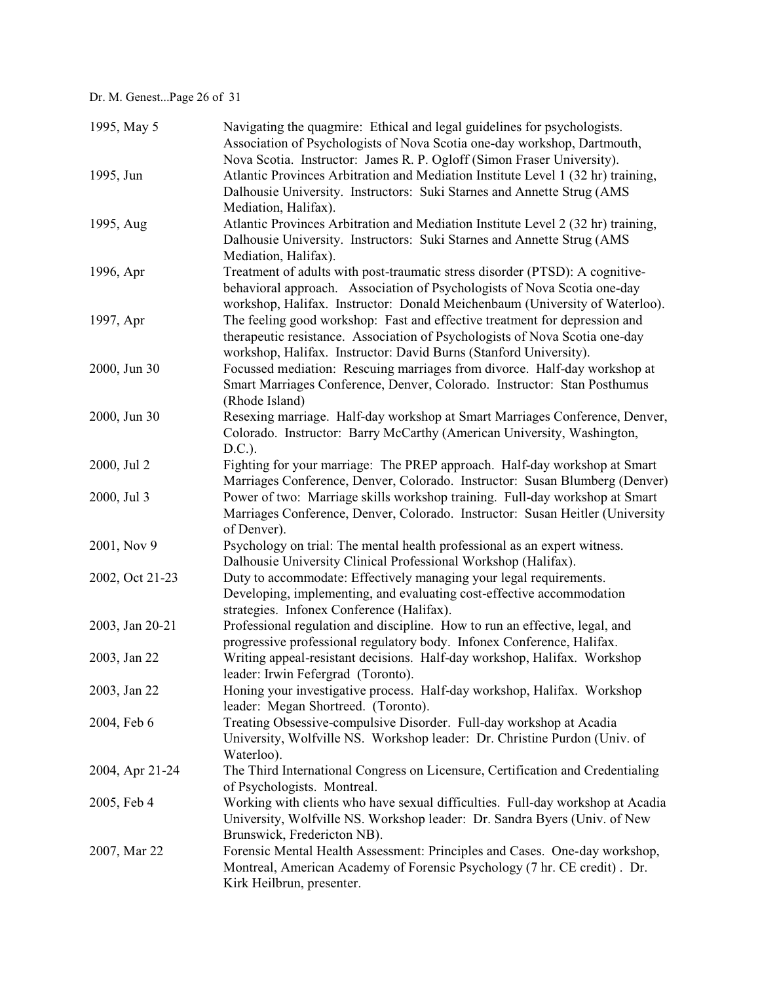Dr. M. Genest...Page 26 of 31

| 1995, May 5     | Navigating the quagmire: Ethical and legal guidelines for psychologists.<br>Association of Psychologists of Nova Scotia one-day workshop, Dartmouth, |
|-----------------|------------------------------------------------------------------------------------------------------------------------------------------------------|
|                 | Nova Scotia. Instructor: James R. P. Ogloff (Simon Fraser University).                                                                               |
| 1995, Jun       | Atlantic Provinces Arbitration and Mediation Institute Level 1 (32 hr) training,                                                                     |
|                 | Dalhousie University. Instructors: Suki Starnes and Annette Strug (AMS                                                                               |
|                 | Mediation, Halifax).                                                                                                                                 |
| 1995, Aug       | Atlantic Provinces Arbitration and Mediation Institute Level 2 (32 hr) training,                                                                     |
|                 | Dalhousie University. Instructors: Suki Starnes and Annette Strug (AMS                                                                               |
|                 | Mediation, Halifax).                                                                                                                                 |
| 1996, Apr       | Treatment of adults with post-traumatic stress disorder (PTSD): A cognitive-                                                                         |
|                 | behavioral approach. Association of Psychologists of Nova Scotia one-day                                                                             |
|                 | workshop, Halifax. Instructor: Donald Meichenbaum (University of Waterloo).                                                                          |
| 1997, Apr       | The feeling good workshop: Fast and effective treatment for depression and                                                                           |
|                 | therapeutic resistance. Association of Psychologists of Nova Scotia one-day                                                                          |
|                 | workshop, Halifax. Instructor: David Burns (Stanford University).                                                                                    |
| 2000, Jun 30    | Focussed mediation: Rescuing marriages from divorce. Half-day workshop at                                                                            |
|                 | Smart Marriages Conference, Denver, Colorado. Instructor: Stan Posthumus                                                                             |
|                 | (Rhode Island)                                                                                                                                       |
| 2000, Jun 30    | Resexing marriage. Half-day workshop at Smart Marriages Conference, Denver,                                                                          |
|                 | Colorado. Instructor: Barry McCarthy (American University, Washington,                                                                               |
|                 | D.C.).                                                                                                                                               |
| 2000, Jul 2     | Fighting for your marriage: The PREP approach. Half-day workshop at Smart                                                                            |
|                 | Marriages Conference, Denver, Colorado. Instructor: Susan Blumberg (Denver)                                                                          |
| 2000, Jul 3     | Power of two: Marriage skills workshop training. Full-day workshop at Smart                                                                          |
|                 | Marriages Conference, Denver, Colorado. Instructor: Susan Heitler (University                                                                        |
|                 | of Denver).                                                                                                                                          |
| 2001, Nov 9     | Psychology on trial: The mental health professional as an expert witness.                                                                            |
|                 | Dalhousie University Clinical Professional Workshop (Halifax).                                                                                       |
| 2002, Oct 21-23 | Duty to accommodate: Effectively managing your legal requirements.                                                                                   |
|                 | Developing, implementing, and evaluating cost-effective accommodation                                                                                |
|                 | strategies. Infonex Conference (Halifax).                                                                                                            |
| 2003, Jan 20-21 | Professional regulation and discipline. How to run an effective, legal, and                                                                          |
|                 | progressive professional regulatory body. Infonex Conference, Halifax.                                                                               |
| 2003, Jan 22    | Writing appeal-resistant decisions. Half-day workshop, Halifax. Workshop                                                                             |
|                 | leader: Irwin Fefergrad (Toronto).                                                                                                                   |
| 2003, Jan 22    | Honing your investigative process. Half-day workshop, Halifax. Workshop                                                                              |
|                 | leader: Megan Shortreed. (Toronto).                                                                                                                  |
| 2004, Feb 6     | Treating Obsessive-compulsive Disorder. Full-day workshop at Acadia                                                                                  |
|                 | University, Wolfville NS. Workshop leader: Dr. Christine Purdon (Univ. of                                                                            |
|                 | Waterloo).                                                                                                                                           |
| 2004, Apr 21-24 | The Third International Congress on Licensure, Certification and Credentialing                                                                       |
|                 | of Psychologists. Montreal.                                                                                                                          |
| 2005, Feb 4     | Working with clients who have sexual difficulties. Full-day workshop at Acadia                                                                       |
|                 | University, Wolfville NS. Workshop leader: Dr. Sandra Byers (Univ. of New                                                                            |
|                 | Brunswick, Fredericton NB).                                                                                                                          |
| 2007, Mar 22    | Forensic Mental Health Assessment: Principles and Cases. One-day workshop,                                                                           |
|                 | Montreal, American Academy of Forensic Psychology (7 hr. CE credit). Dr.                                                                             |
|                 | Kirk Heilbrun, presenter.                                                                                                                            |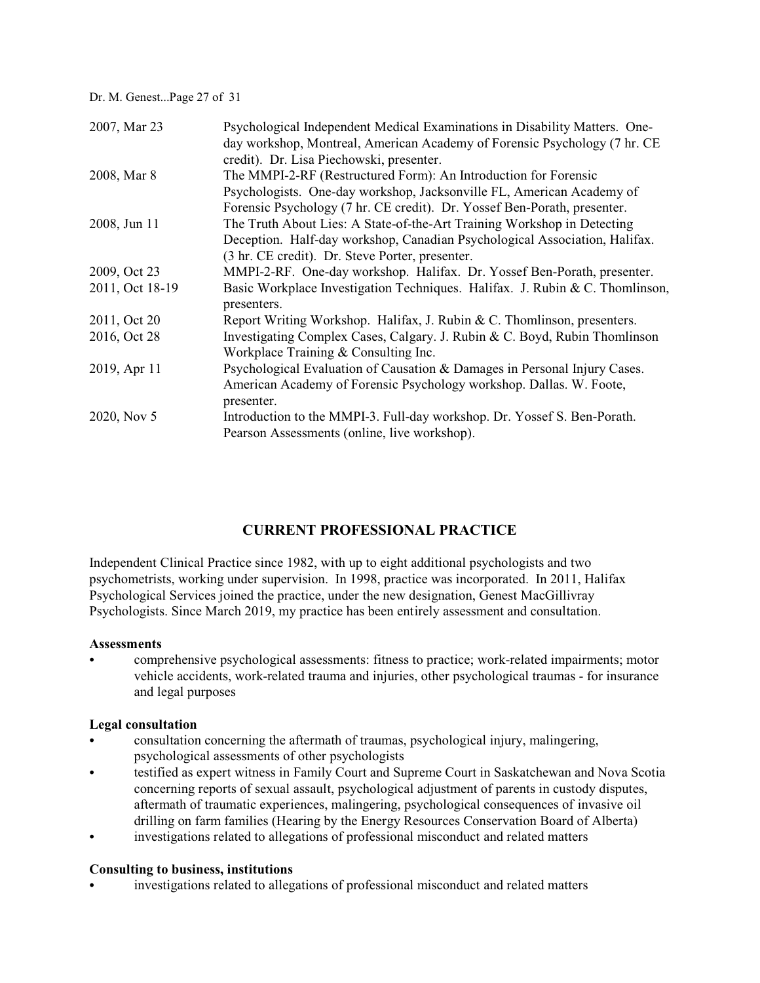Dr. M. Genest...Page 27 of 31

| 2007, Mar 23    | Psychological Independent Medical Examinations in Disability Matters. One-   |
|-----------------|------------------------------------------------------------------------------|
|                 | day workshop, Montreal, American Academy of Forensic Psychology (7 hr. CE    |
|                 | credit). Dr. Lisa Piechowski, presenter.                                     |
| 2008, Mar 8     | The MMPI-2-RF (Restructured Form): An Introduction for Forensic              |
|                 | Psychologists. One-day workshop, Jacksonville FL, American Academy of        |
|                 | Forensic Psychology (7 hr. CE credit). Dr. Yossef Ben-Porath, presenter.     |
| 2008, Jun 11    | The Truth About Lies: A State-of-the-Art Training Workshop in Detecting      |
|                 | Deception. Half-day workshop, Canadian Psychological Association, Halifax.   |
|                 | (3 hr. CE credit). Dr. Steve Porter, presenter.                              |
| 2009, Oct 23    | MMPI-2-RF. One-day workshop. Halifax. Dr. Yossef Ben-Porath, presenter.      |
| 2011, Oct 18-19 | Basic Workplace Investigation Techniques. Halifax. J. Rubin & C. Thomlinson, |
|                 | presenters.                                                                  |
| 2011, Oct 20    | Report Writing Workshop. Halifax, J. Rubin & C. Thomlinson, presenters.      |
| 2016, Oct 28    | Investigating Complex Cases, Calgary. J. Rubin & C. Boyd, Rubin Thomlinson   |
|                 | Workplace Training & Consulting Inc.                                         |
| 2019, Apr 11    | Psychological Evaluation of Causation & Damages in Personal Injury Cases.    |
|                 | American Academy of Forensic Psychology workshop. Dallas. W. Foote,          |
|                 | presenter.                                                                   |
| 2020, Nov 5     | Introduction to the MMPI-3. Full-day workshop. Dr. Yossef S. Ben-Porath.     |
|                 | Pearson Assessments (online, live workshop).                                 |

# **CURRENT PROFESSIONAL PRACTICE**

Independent Clinical Practice since 1982, with up to eight additional psychologists and two psychometrists, working under supervision. In 1998, practice was incorporated. In 2011, Halifax Psychological Services joined the practice, under the new designation, Genest MacGillivray Psychologists. Since March 2019, my practice has been entirely assessment and consultation.

### **Assessments**

comprehensive psychological assessments: fitness to practice; work-related impairments; motor vehicle accidents, work-related trauma and injuries, other psychological traumas - for insurance and legal purposes

## **Legal consultation**

- consultation concerning the aftermath of traumas, psychological injury, malingering, psychological assessments of other psychologists
- testified as expert witness in Family Court and Supreme Court in Saskatchewan and Nova Scotia concerning reports of sexual assault, psychological adjustment of parents in custody disputes, aftermath of traumatic experiences, malingering, psychological consequences of invasive oil drilling on farm families (Hearing by the Energy Resources Conservation Board of Alberta)
- investigations related to allegations of professional misconduct and related matters

## **Consulting to business, institutions**

investigations related to allegations of professional misconduct and related matters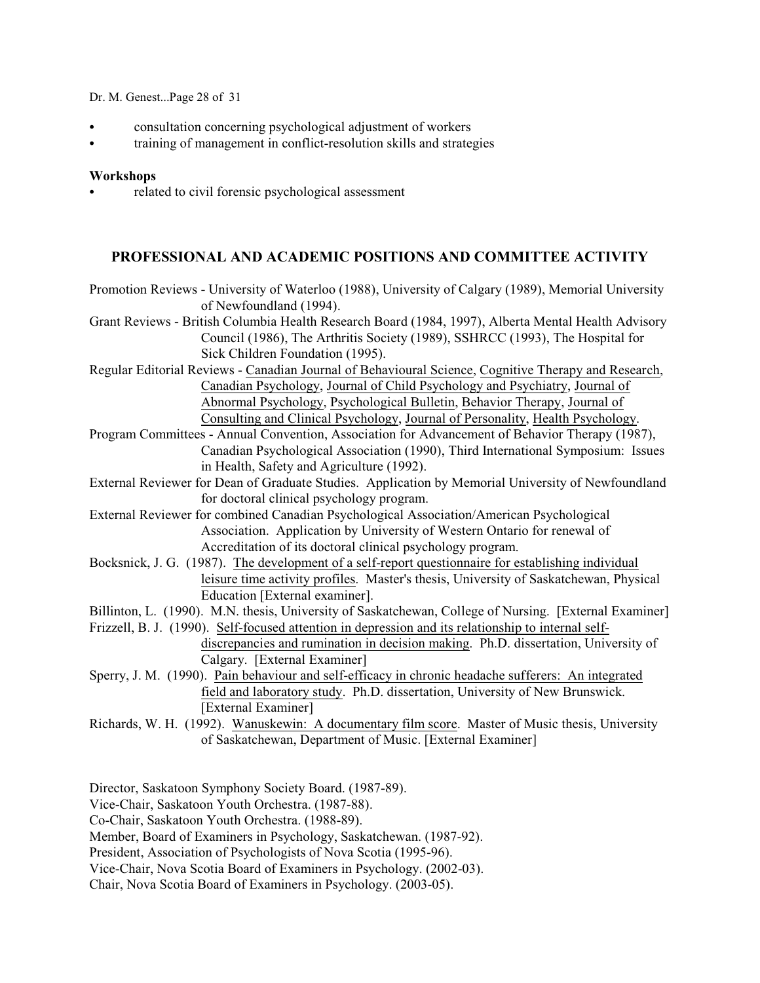Dr. M. Genest...Page 28 of 31

- C consultation concerning psychological adjustment of workers
- training of management in conflict-resolution skills and strategies

## **Workshops**

related to civil forensic psychological assessment

# **PROFESSIONAL AND ACADEMIC POSITIONS AND COMMITTEE ACTIVITY**

- Promotion Reviews University of Waterloo (1988), University of Calgary (1989), Memorial University of Newfoundland (1994).
- Grant Reviews British Columbia Health Research Board (1984, 1997), Alberta Mental Health Advisory Council (1986), The Arthritis Society (1989), SSHRCC (1993), The Hospital for Sick Children Foundation (1995).
- Regular Editorial Reviews Canadian Journal of Behavioural Science, Cognitive Therapy and Research, Canadian Psychology, Journal of Child Psychology and Psychiatry, Journal of Abnormal Psychology, Psychological Bulletin, Behavior Therapy, Journal of Consulting and Clinical Psychology, Journal of Personality, Health Psychology.
- Program Committees Annual Convention, Association for Advancement of Behavior Therapy (1987), Canadian Psychological Association (1990), Third International Symposium: Issues in Health, Safety and Agriculture (1992).
- External Reviewer for Dean of Graduate Studies. Application by Memorial University of Newfoundland for doctoral clinical psychology program.
- External Reviewer for combined Canadian Psychological Association/American Psychological Association. Application by University of Western Ontario for renewal of Accreditation of its doctoral clinical psychology program.
- Bocksnick, J. G. (1987). The development of a self-report questionnaire for establishing individual leisure time activity profiles. Master's thesis, University of Saskatchewan, Physical Education [External examiner].
- Billinton, L. (1990). M.N. thesis, University of Saskatchewan, College of Nursing. [External Examiner]
- Frizzell, B. J. (1990). Self-focused attention in depression and its relationship to internal selfdiscrepancies and rumination in decision making. Ph.D. dissertation, University of Calgary. [External Examiner]
- Sperry, J. M. (1990). Pain behaviour and self-efficacy in chronic headache sufferers: An integrated field and laboratory study. Ph.D. dissertation, University of New Brunswick. [External Examiner]
- Richards, W. H. (1992). Wanuskewin: A documentary film score. Master of Music thesis, University of Saskatchewan, Department of Music. [External Examiner]

Director, Saskatoon Symphony Society Board. (1987-89).

Vice-Chair, Saskatoon Youth Orchestra. (1987-88).

Co-Chair, Saskatoon Youth Orchestra. (1988-89).

Member, Board of Examiners in Psychology, Saskatchewan. (1987-92).

President, Association of Psychologists of Nova Scotia (1995-96).

Vice-Chair, Nova Scotia Board of Examiners in Psychology. (2002-03).

Chair, Nova Scotia Board of Examiners in Psychology. (2003-05).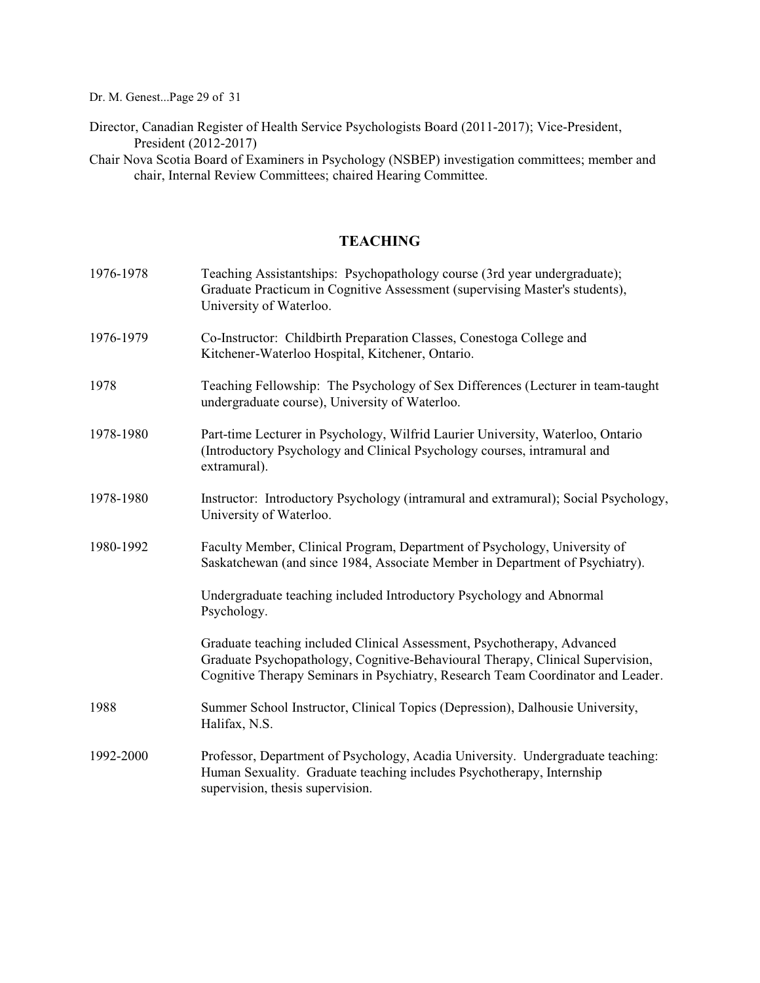Dr. M. Genest...Page 29 of 31

Director, Canadian Register of Health Service Psychologists Board (2011-2017); Vice-President, President (2012-2017)

Chair Nova Scotia Board of Examiners in Psychology (NSBEP) investigation committees; member and chair, Internal Review Committees; chaired Hearing Committee.

# **TEACHING**

| 1976-1978 | Teaching Assistantships: Psychopathology course (3rd year undergraduate);<br>Graduate Practicum in Cognitive Assessment (supervising Master's students),<br>University of Waterloo.                                                          |
|-----------|----------------------------------------------------------------------------------------------------------------------------------------------------------------------------------------------------------------------------------------------|
| 1976-1979 | Co-Instructor: Childbirth Preparation Classes, Conestoga College and<br>Kitchener-Waterloo Hospital, Kitchener, Ontario.                                                                                                                     |
| 1978      | Teaching Fellowship: The Psychology of Sex Differences (Lecturer in team-taught<br>undergraduate course), University of Waterloo.                                                                                                            |
| 1978-1980 | Part-time Lecturer in Psychology, Wilfrid Laurier University, Waterloo, Ontario<br>(Introductory Psychology and Clinical Psychology courses, intramural and<br>extramural).                                                                  |
| 1978-1980 | Instructor: Introductory Psychology (intramural and extramural); Social Psychology,<br>University of Waterloo.                                                                                                                               |
| 1980-1992 | Faculty Member, Clinical Program, Department of Psychology, University of<br>Saskatchewan (and since 1984, Associate Member in Department of Psychiatry).                                                                                    |
|           | Undergraduate teaching included Introductory Psychology and Abnormal<br>Psychology.                                                                                                                                                          |
|           | Graduate teaching included Clinical Assessment, Psychotherapy, Advanced<br>Graduate Psychopathology, Cognitive-Behavioural Therapy, Clinical Supervision,<br>Cognitive Therapy Seminars in Psychiatry, Research Team Coordinator and Leader. |
| 1988      | Summer School Instructor, Clinical Topics (Depression), Dalhousie University,<br>Halifax, N.S.                                                                                                                                               |
| 1992-2000 | Professor, Department of Psychology, Acadia University. Undergraduate teaching:<br>Human Sexuality. Graduate teaching includes Psychotherapy, Internship<br>supervision, thesis supervision.                                                 |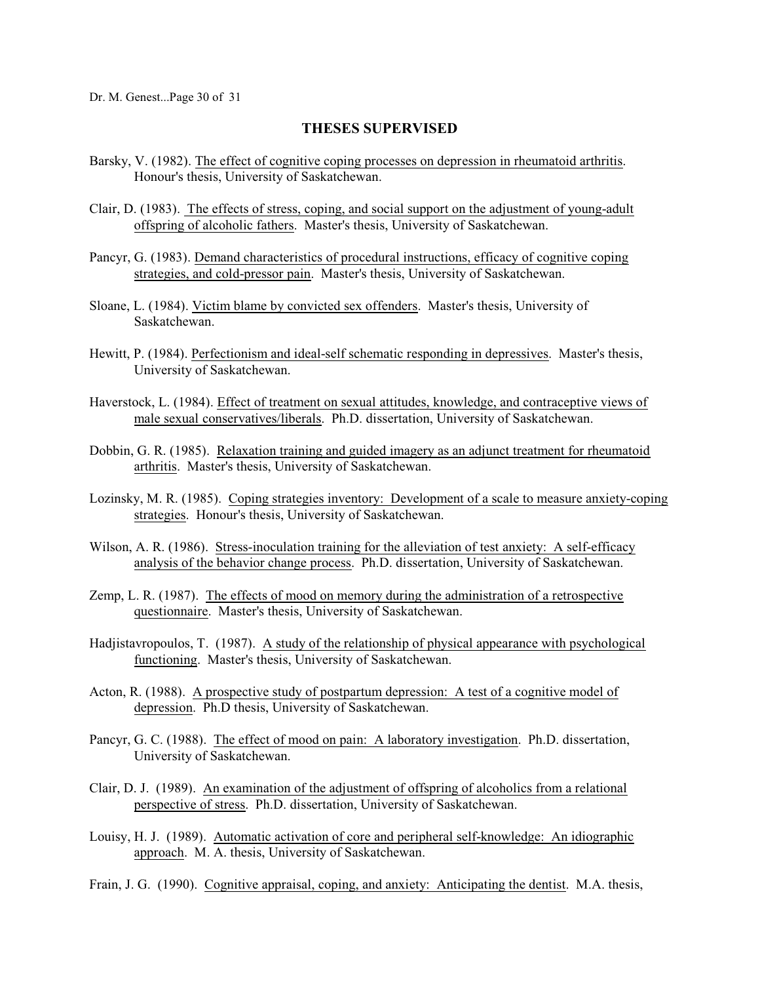## **THESES SUPERVISED**

- Barsky, V. (1982). The effect of cognitive coping processes on depression in rheumatoid arthritis. Honour's thesis, University of Saskatchewan.
- Clair, D. (1983). The effects of stress, coping, and social support on the adjustment of young-adult offspring of alcoholic fathers. Master's thesis, University of Saskatchewan.
- Pancyr, G. (1983). Demand characteristics of procedural instructions, efficacy of cognitive coping strategies, and cold-pressor pain. Master's thesis, University of Saskatchewan.
- Sloane, L. (1984). Victim blame by convicted sex offenders. Master's thesis, University of Saskatchewan.
- Hewitt, P. (1984). Perfectionism and ideal-self schematic responding in depressives. Master's thesis, University of Saskatchewan.
- Haverstock, L. (1984). Effect of treatment on sexual attitudes, knowledge, and contraceptive views of male sexual conservatives/liberals. Ph.D. dissertation, University of Saskatchewan.
- Dobbin, G. R. (1985). Relaxation training and guided imagery as an adjunct treatment for rheumatoid arthritis. Master's thesis, University of Saskatchewan.
- Lozinsky, M. R. (1985). Coping strategies inventory: Development of a scale to measure anxiety-coping strategies. Honour's thesis, University of Saskatchewan.
- Wilson, A. R. (1986). Stress-inoculation training for the alleviation of test anxiety: A self-efficacy analysis of the behavior change process. Ph.D. dissertation, University of Saskatchewan.
- Zemp, L. R. (1987). The effects of mood on memory during the administration of a retrospective questionnaire. Master's thesis, University of Saskatchewan.
- Hadjistavropoulos, T. (1987). A study of the relationship of physical appearance with psychological functioning. Master's thesis, University of Saskatchewan.
- Acton, R. (1988). A prospective study of postpartum depression: A test of a cognitive model of depression. Ph.D thesis, University of Saskatchewan.
- Pancyr, G. C. (1988). The effect of mood on pain: A laboratory investigation. Ph.D. dissertation, University of Saskatchewan.
- Clair, D. J. (1989). An examination of the adjustment of offspring of alcoholics from a relational perspective of stress. Ph.D. dissertation, University of Saskatchewan.
- Louisy, H. J. (1989). Automatic activation of core and peripheral self-knowledge: An idiographic approach. M. A. thesis, University of Saskatchewan.

.Frain, J. G. (1990). Cognitive appraisal, coping, and anxiety: Anticipating the dentist. M.A. thesis,